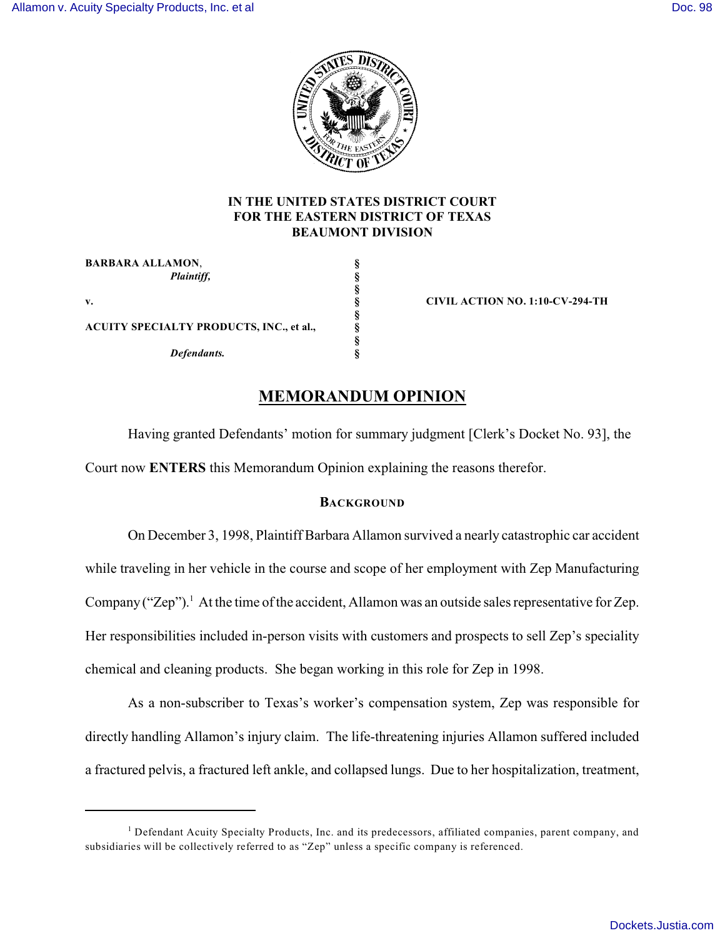

## **IN THE UNITED STATES DISTRICT COURT FOR THE EASTERN DISTRICT OF TEXAS BEAUMONT DIVISION**

| <b>BARBARA ALLAMON,</b>                         |  |
|-------------------------------------------------|--|
| Plaintiff,                                      |  |
|                                                 |  |
| v.                                              |  |
|                                                 |  |
| <b>ACUITY SPECIALTY PRODUCTS, INC., et al.,</b> |  |
|                                                 |  |
| Defendants.                                     |  |

**v. § CIVIL ACTION NO. 1:10-CV-294-TH**

# **MEMORANDUM OPINION**

Having granted Defendants' motion for summary judgment [Clerk's Docket No. 93], the Court now **ENTERS** this Memorandum Opinion explaining the reasons therefor.

## **BACKGROUND**

On December 3, 1998, Plaintiff Barbara Allamon survived a nearly catastrophic car accident while traveling in her vehicle in the course and scope of her employment with Zep Manufacturing Company ("Zep").<sup>1</sup> At the time of the accident, Allamon was an outside sales representative for Zep. Her responsibilities included in-person visits with customers and prospects to sell Zep's speciality chemical and cleaning products. She began working in this role for Zep in 1998.

As a non-subscriber to Texas's worker's compensation system, Zep was responsible for directly handling Allamon's injury claim. The life-threatening injuries Allamon suffered included a fractured pelvis, a fractured left ankle, and collapsed lungs. Due to her hospitalization, treatment,

 $<sup>1</sup>$  Defendant Acuity Specialty Products, Inc. and its predecessors, affiliated companies, parent company, and</sup> subsidiaries will be collectively referred to as "Zep" unless a specific company is referenced.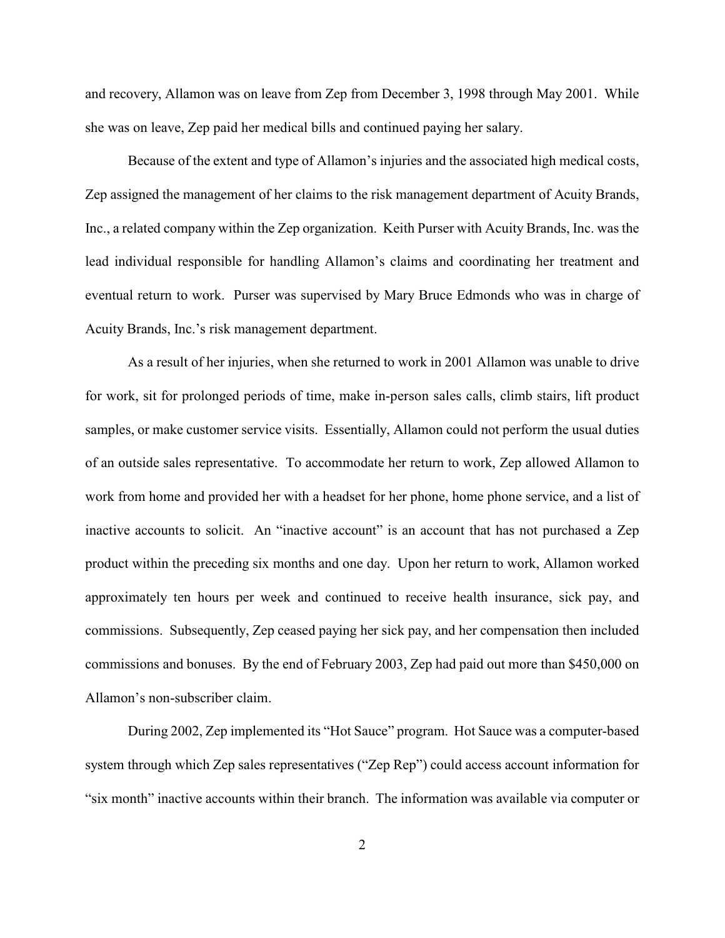and recovery, Allamon was on leave from Zep from December 3, 1998 through May 2001. While she was on leave, Zep paid her medical bills and continued paying her salary.

Because of the extent and type of Allamon's injuries and the associated high medical costs, Zep assigned the management of her claims to the risk management department of Acuity Brands, Inc., a related company within the Zep organization. Keith Purser with Acuity Brands, Inc. was the lead individual responsible for handling Allamon's claims and coordinating her treatment and eventual return to work. Purser was supervised by Mary Bruce Edmonds who was in charge of Acuity Brands, Inc.'s risk management department.

As a result of her injuries, when she returned to work in 2001 Allamon was unable to drive for work, sit for prolonged periods of time, make in-person sales calls, climb stairs, lift product samples, or make customer service visits. Essentially, Allamon could not perform the usual duties of an outside sales representative. To accommodate her return to work, Zep allowed Allamon to work from home and provided her with a headset for her phone, home phone service, and a list of inactive accounts to solicit. An "inactive account" is an account that has not purchased a Zep product within the preceding six months and one day. Upon her return to work, Allamon worked approximately ten hours per week and continued to receive health insurance, sick pay, and commissions. Subsequently, Zep ceased paying her sick pay, and her compensation then included commissions and bonuses. By the end of February 2003, Zep had paid out more than \$450,000 on Allamon's non-subscriber claim.

During 2002, Zep implemented its "Hot Sauce" program. Hot Sauce was a computer-based system through which Zep sales representatives ("Zep Rep") could access account information for "six month" inactive accounts within their branch. The information was available via computer or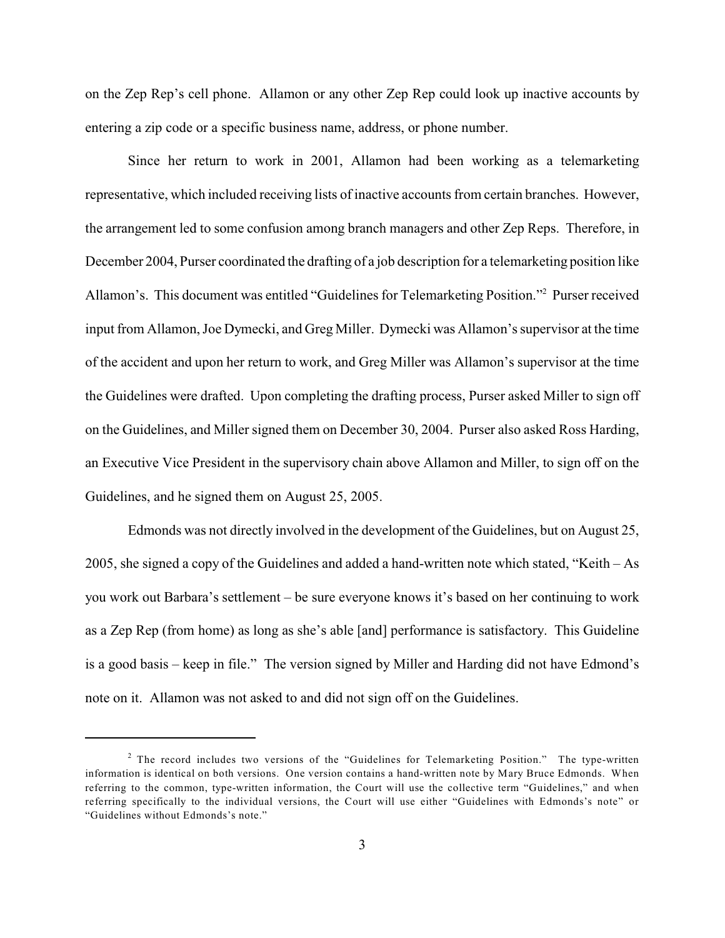on the Zep Rep's cell phone. Allamon or any other Zep Rep could look up inactive accounts by entering a zip code or a specific business name, address, or phone number.

Since her return to work in 2001, Allamon had been working as a telemarketing representative, which included receiving lists of inactive accounts from certain branches. However, the arrangement led to some confusion among branch managers and other Zep Reps. Therefore, in December 2004, Purser coordinated the drafting of a job description for a telemarketing position like Allamon's. This document was entitled "Guidelines for Telemarketing Position."<sup>2</sup> Purser received input from Allamon, Joe Dymecki, and Greg Miller. Dymecki was Allamon's supervisor at the time of the accident and upon her return to work, and Greg Miller was Allamon's supervisor at the time the Guidelines were drafted. Upon completing the drafting process, Purser asked Miller to sign off on the Guidelines, and Miller signed them on December 30, 2004. Purser also asked Ross Harding, an Executive Vice President in the supervisory chain above Allamon and Miller, to sign off on the Guidelines, and he signed them on August 25, 2005.

Edmonds was not directly involved in the development of the Guidelines, but on August 25, 2005, she signed a copy of the Guidelines and added a hand-written note which stated, "Keith – As you work out Barbara's settlement – be sure everyone knows it's based on her continuing to work as a Zep Rep (from home) as long as she's able [and] performance is satisfactory. This Guideline is a good basis – keep in file." The version signed by Miller and Harding did not have Edmond's note on it. Allamon was not asked to and did not sign off on the Guidelines.

 $2$  The record includes two versions of the "Guidelines for Telemarketing Position." The type-written information is identical on both versions. One version contains a hand-written note by Mary Bruce Edmonds. When referring to the common, type-written information, the Court will use the collective term "Guidelines," and when referring specifically to the individual versions, the Court will use either "Guidelines with Edmonds's note" or "Guidelines without Edmonds's note."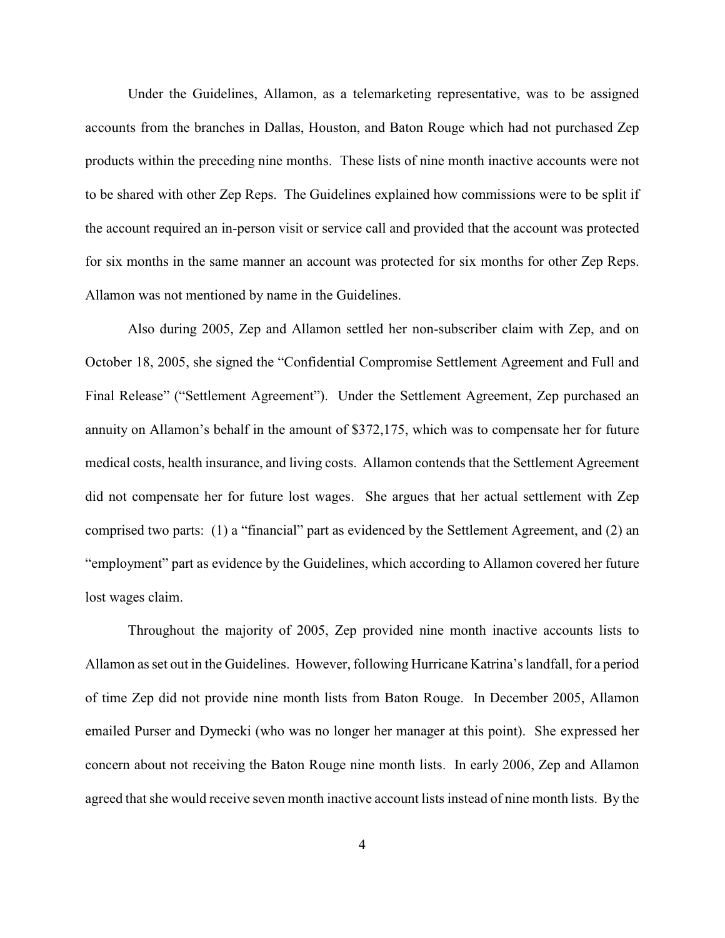Under the Guidelines, Allamon, as a telemarketing representative, was to be assigned accounts from the branches in Dallas, Houston, and Baton Rouge which had not purchased Zep products within the preceding nine months. These lists of nine month inactive accounts were not to be shared with other Zep Reps. The Guidelines explained how commissions were to be split if the account required an in-person visit or service call and provided that the account was protected for six months in the same manner an account was protected for six months for other Zep Reps. Allamon was not mentioned by name in the Guidelines.

Also during 2005, Zep and Allamon settled her non-subscriber claim with Zep, and on October 18, 2005, she signed the "Confidential Compromise Settlement Agreement and Full and Final Release" ("Settlement Agreement"). Under the Settlement Agreement, Zep purchased an annuity on Allamon's behalf in the amount of \$372,175, which was to compensate her for future medical costs, health insurance, and living costs. Allamon contends that the Settlement Agreement did not compensate her for future lost wages. She argues that her actual settlement with Zep comprised two parts: (1) a "financial" part as evidenced by the Settlement Agreement, and (2) an "employment" part as evidence by the Guidelines, which according to Allamon covered her future lost wages claim.

Throughout the majority of 2005, Zep provided nine month inactive accounts lists to Allamon as set out in the Guidelines. However, following Hurricane Katrina's landfall, for a period of time Zep did not provide nine month lists from Baton Rouge. In December 2005, Allamon emailed Purser and Dymecki (who was no longer her manager at this point). She expressed her concern about not receiving the Baton Rouge nine month lists. In early 2006, Zep and Allamon agreed that she would receive seven month inactive account lists instead of nine month lists. By the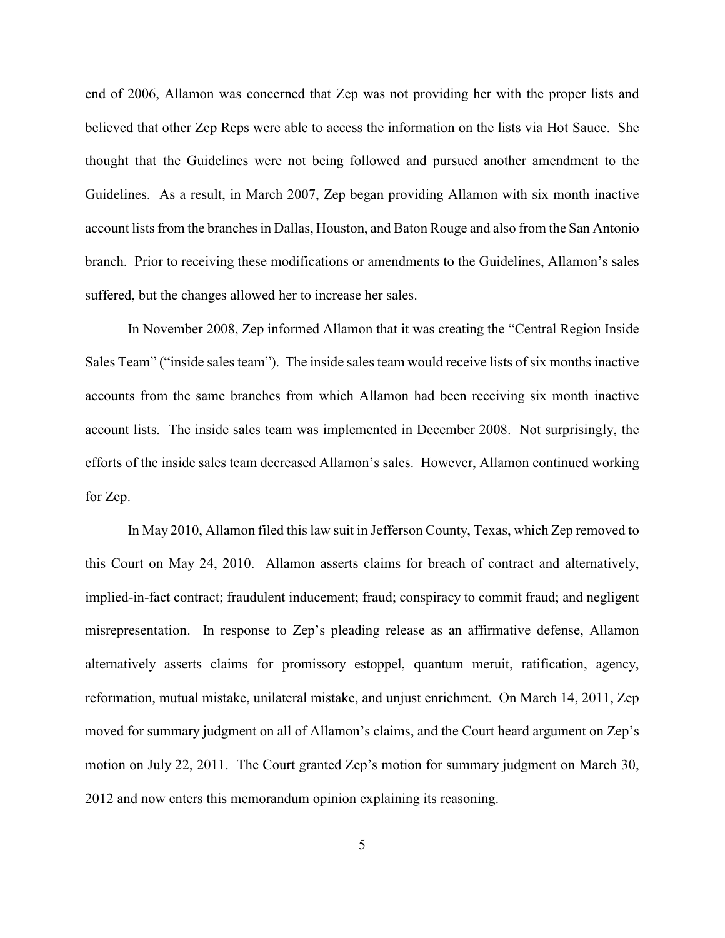end of 2006, Allamon was concerned that Zep was not providing her with the proper lists and believed that other Zep Reps were able to access the information on the lists via Hot Sauce. She thought that the Guidelines were not being followed and pursued another amendment to the Guidelines. As a result, in March 2007, Zep began providing Allamon with six month inactive account lists from the branches in Dallas, Houston, and Baton Rouge and also from the San Antonio branch. Prior to receiving these modifications or amendments to the Guidelines, Allamon's sales suffered, but the changes allowed her to increase her sales.

In November 2008, Zep informed Allamon that it was creating the "Central Region Inside Sales Team" ("inside sales team"). The inside sales team would receive lists of six months inactive accounts from the same branches from which Allamon had been receiving six month inactive account lists. The inside sales team was implemented in December 2008. Not surprisingly, the efforts of the inside sales team decreased Allamon's sales. However, Allamon continued working for Zep.

In May 2010, Allamon filed this law suit in Jefferson County, Texas, which Zep removed to this Court on May 24, 2010. Allamon asserts claims for breach of contract and alternatively, implied-in-fact contract; fraudulent inducement; fraud; conspiracy to commit fraud; and negligent misrepresentation. In response to Zep's pleading release as an affirmative defense, Allamon alternatively asserts claims for promissory estoppel, quantum meruit, ratification, agency, reformation, mutual mistake, unilateral mistake, and unjust enrichment. On March 14, 2011, Zep moved for summary judgment on all of Allamon's claims, and the Court heard argument on Zep's motion on July 22, 2011. The Court granted Zep's motion for summary judgment on March 30, 2012 and now enters this memorandum opinion explaining its reasoning.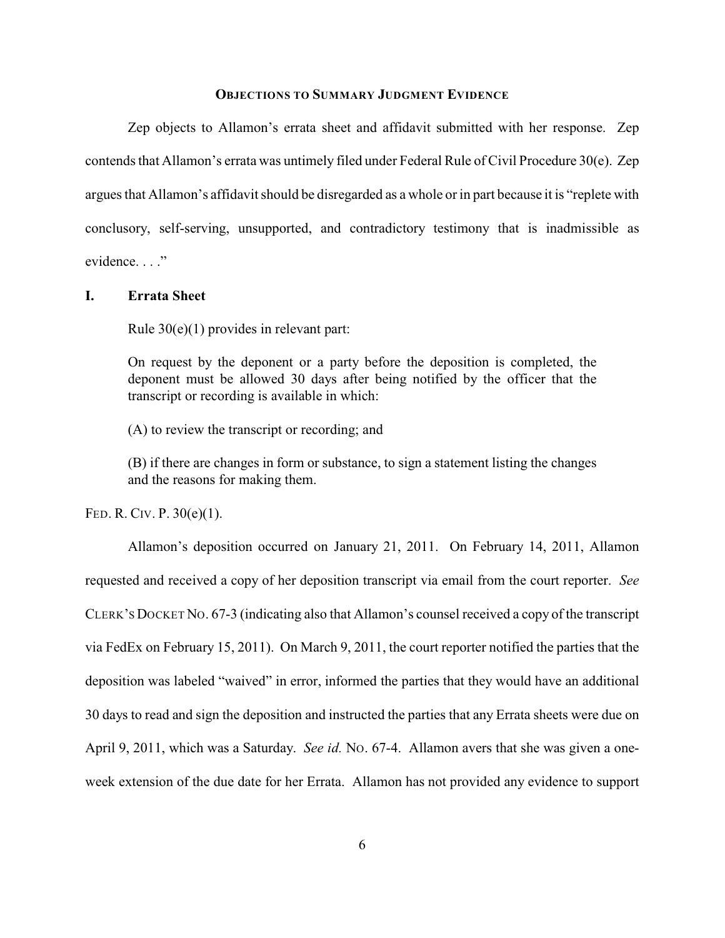### **OBJECTIONS TO SUMMARY JUDGMENT EVIDENCE**

Zep objects to Allamon's errata sheet and affidavit submitted with her response. Zep contends that Allamon's errata was untimely filed under Federal Rule of Civil Procedure 30(e). Zep argues that Allamon's affidavit should be disregarded as a whole or in part because it is "replete with conclusory, self-serving, unsupported, and contradictory testimony that is inadmissible as evidence. . . ."

**I. Errata Sheet**

Rule 30(e)(1) provides in relevant part:

On request by the deponent or a party before the deposition is completed, the deponent must be allowed 30 days after being notified by the officer that the transcript or recording is available in which:

(A) to review the transcript or recording; and

(B) if there are changes in form or substance, to sign a statement listing the changes and the reasons for making them.

FED. R. CIV. P. 30(e)(1).

Allamon's deposition occurred on January 21, 2011. On February 14, 2011, Allamon requested and received a copy of her deposition transcript via email from the court reporter. *See* CLERK'S DOCKET NO. 67-3 (indicating also that Allamon's counsel received a copy of the transcript via FedEx on February 15, 2011). On March 9, 2011, the court reporter notified the parties that the deposition was labeled "waived" in error, informed the parties that they would have an additional 30 days to read and sign the deposition and instructed the parties that any Errata sheets were due on April 9, 2011, which was a Saturday. *See id.* No. 67-4. Allamon avers that she was given a oneweek extension of the due date for her Errata. Allamon has not provided any evidence to support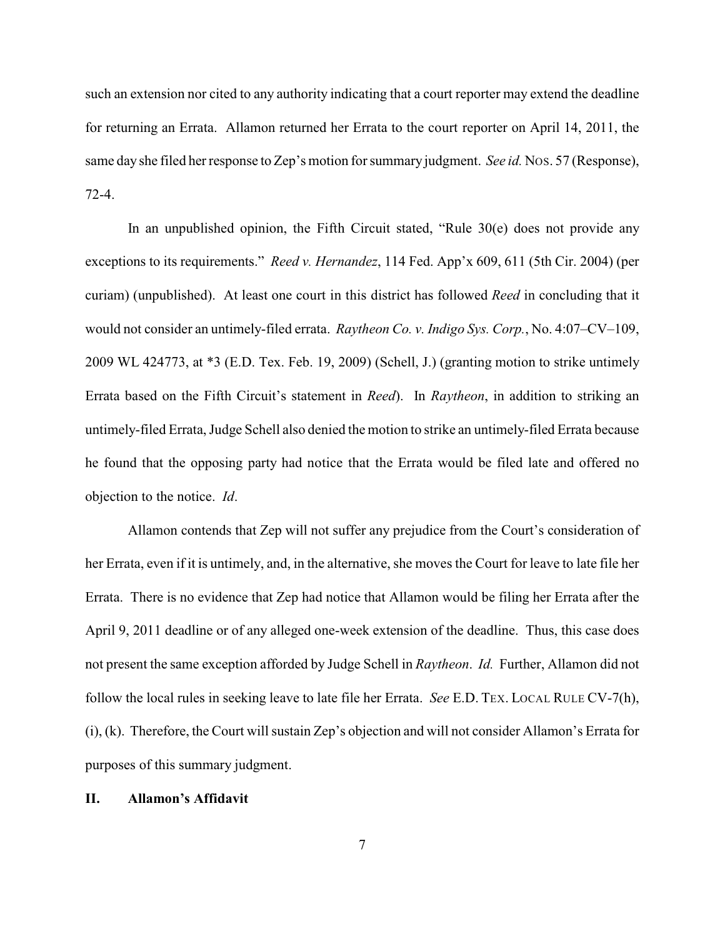such an extension nor cited to any authority indicating that a court reporter may extend the deadline for returning an Errata. Allamon returned her Errata to the court reporter on April 14, 2011, the same day she filed her response to Zep's motion for summary judgment. *See id.* NOS. 57 (Response), 72-4.

In an unpublished opinion, the Fifth Circuit stated, "Rule 30(e) does not provide any exceptions to its requirements." *Reed v. Hernandez*, 114 Fed. App'x 609, 611 (5th Cir. 2004) (per curiam) (unpublished). At least one court in this district has followed *Reed* in concluding that it would not consider an untimely-filed errata. *Raytheon Co. v. Indigo Sys. Corp.*, No. 4:07–CV–109, 2009 WL 424773, at \*3 (E.D. Tex. Feb. 19, 2009) (Schell, J.) (granting motion to strike untimely Errata based on the Fifth Circuit's statement in *Reed*). In *Raytheon*, in addition to striking an untimely-filed Errata, Judge Schell also denied the motion to strike an untimely-filed Errata because he found that the opposing party had notice that the Errata would be filed late and offered no objection to the notice. *Id*.

Allamon contends that Zep will not suffer any prejudice from the Court's consideration of her Errata, even if it is untimely, and, in the alternative, she moves the Court for leave to late file her Errata. There is no evidence that Zep had notice that Allamon would be filing her Errata after the April 9, 2011 deadline or of any alleged one-week extension of the deadline. Thus, this case does not present the same exception afforded by Judge Schell in *Raytheon*. *Id.* Further, Allamon did not follow the local rules in seeking leave to late file her Errata. *See* E.D. TEX. LOCAL RULE CV-7(h), (i), (k). Therefore, the Court will sustain Zep's objection and will not consider Allamon's Errata for purposes of this summary judgment.

#### **II. Allamon's Affidavit**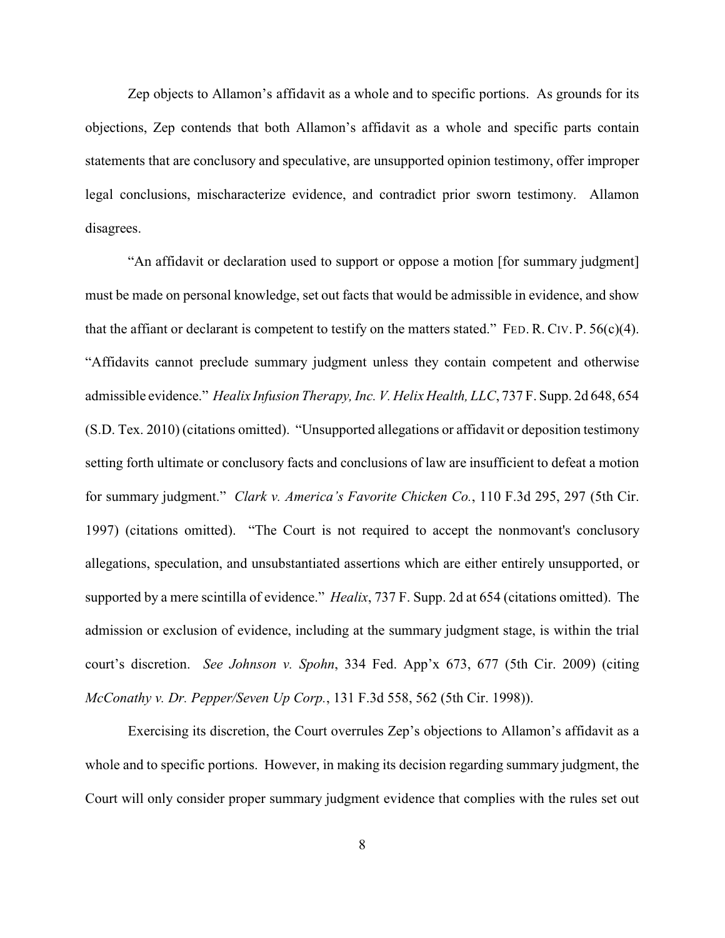Zep objects to Allamon's affidavit as a whole and to specific portions. As grounds for its objections, Zep contends that both Allamon's affidavit as a whole and specific parts contain statements that are conclusory and speculative, are unsupported opinion testimony, offer improper legal conclusions, mischaracterize evidence, and contradict prior sworn testimony. Allamon disagrees.

"An affidavit or declaration used to support or oppose a motion [for summary judgment] must be made on personal knowledge, set out facts that would be admissible in evidence, and show that the affiant or declarant is competent to testify on the matters stated." FED. R. CIV. P.  $56(c)(4)$ . "Affidavits cannot preclude summary judgment unless they contain competent and otherwise admissible evidence." *Healix Infusion Therapy, Inc. V. Helix Health, LLC*, 737 F. Supp. 2d 648, 654 (S.D. Tex. 2010) (citations omitted). "Unsupported allegations or affidavit or deposition testimony setting forth ultimate or conclusory facts and conclusions of law are insufficient to defeat a motion for summary judgment." *Clark v. America's Favorite Chicken Co.*, 110 F.3d 295, 297 (5th Cir. 1997) (citations omitted). "The Court is not required to accept the nonmovant's conclusory allegations, speculation, and unsubstantiated assertions which are either entirely unsupported, or supported by a mere scintilla of evidence." *Healix*, 737 F. Supp. 2d at 654 (citations omitted). The admission or exclusion of evidence, including at the summary judgment stage, is within the trial court's discretion. *See Johnson v. Spohn*, 334 Fed. App'x 673, 677 (5th Cir. 2009) (citing *McConathy v. Dr. Pepper/Seven Up Corp.*, 131 F.3d 558, 562 (5th Cir. 1998)).

Exercising its discretion, the Court overrules Zep's objections to Allamon's affidavit as a whole and to specific portions. However, in making its decision regarding summary judgment, the Court will only consider proper summary judgment evidence that complies with the rules set out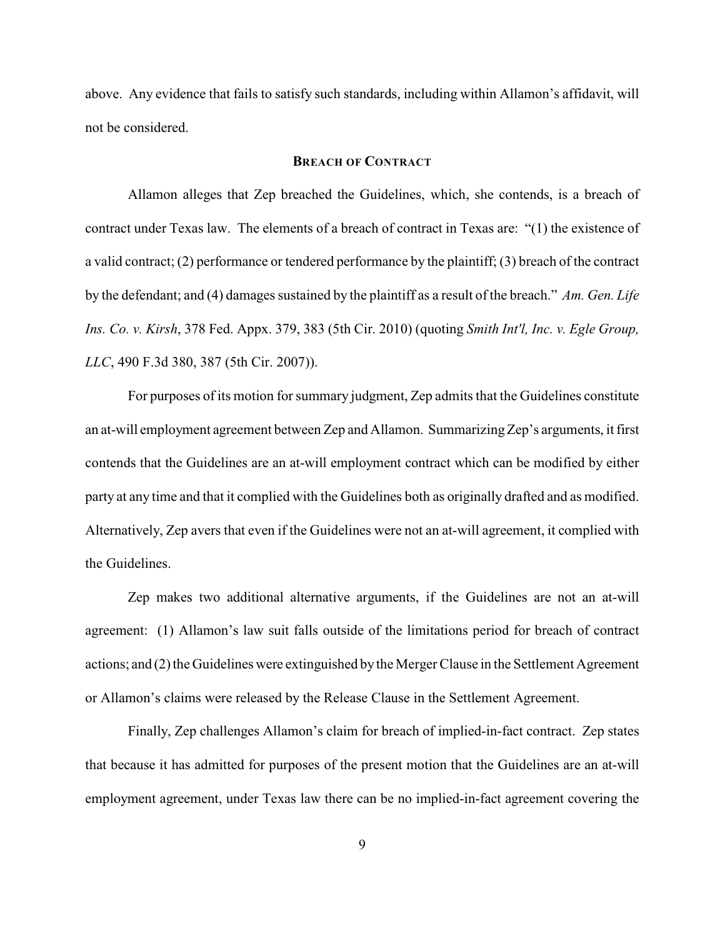above. Any evidence that fails to satisfy such standards, including within Allamon's affidavit, will not be considered.

### **BREACH OF CONTRACT**

Allamon alleges that Zep breached the Guidelines, which, she contends, is a breach of contract under Texas law. The elements of a breach of contract in Texas are: "(1) the existence of a valid contract; (2) performance or tendered performance by the plaintiff; (3) breach of the contract by the defendant; and (4) damages sustained by the plaintiff as a result of the breach." *Am. Gen. Life Ins. Co. v. Kirsh*, 378 Fed. Appx. 379, 383 (5th Cir. 2010) (quoting *Smith Int'l, Inc. v. Egle Group, LLC*, 490 F.3d 380, 387 (5th Cir. 2007)).

For purposes of its motion for summary judgment, Zep admits that the Guidelines constitute an at-will employment agreement between Zep and Allamon. Summarizing Zep's arguments, it first contends that the Guidelines are an at-will employment contract which can be modified by either party at any time and that it complied with the Guidelines both as originally drafted and as modified. Alternatively, Zep avers that even if the Guidelines were not an at-will agreement, it complied with the Guidelines.

Zep makes two additional alternative arguments, if the Guidelines are not an at-will agreement: (1) Allamon's law suit falls outside of the limitations period for breach of contract actions; and (2) the Guidelines were extinguished by the Merger Clause in the Settlement Agreement or Allamon's claims were released by the Release Clause in the Settlement Agreement.

Finally, Zep challenges Allamon's claim for breach of implied-in-fact contract. Zep states that because it has admitted for purposes of the present motion that the Guidelines are an at-will employment agreement, under Texas law there can be no implied-in-fact agreement covering the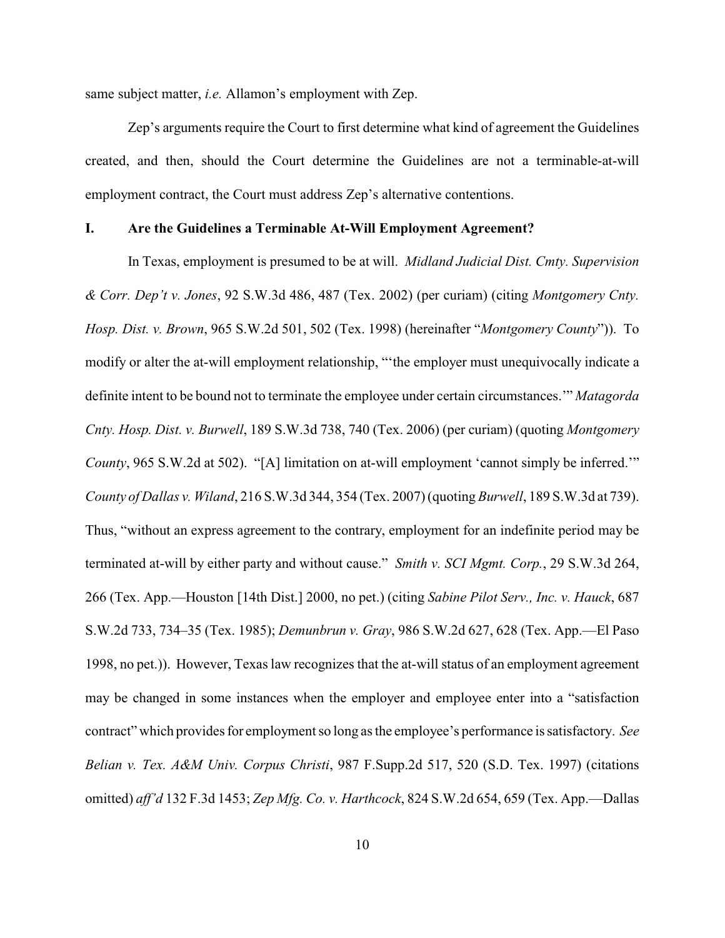same subject matter, *i.e.* Allamon's employment with Zep.

Zep's arguments require the Court to first determine what kind of agreement the Guidelines created, and then, should the Court determine the Guidelines are not a terminable-at-will employment contract, the Court must address Zep's alternative contentions.

#### **I. Are the Guidelines a Terminable At-Will Employment Agreement?**

In Texas, employment is presumed to be at will. *Midland Judicial Dist. Cmty. Supervision & Corr. Dep't v. Jones*, 92 S.W.3d 486, 487 (Tex. 2002) (per curiam) (citing *Montgomery Cnty. Hosp. Dist. v. Brown*, 965 S.W.2d 501, 502 (Tex. 1998) (hereinafter "*Montgomery County*")). To modify or alter the at-will employment relationship, "'the employer must unequivocally indicate a definite intent to be bound not to terminate the employee under certain circumstances.'" *Matagorda Cnty. Hosp. Dist. v. Burwell*, 189 S.W.3d 738, 740 (Tex. 2006) (per curiam) (quoting *Montgomery County*, 965 S.W.2d at 502). "[A] limitation on at-will employment 'cannot simply be inferred.'" *County of Dallas v. Wiland*, 216 S.W.3d 344, 354 (Tex. 2007) (quoting *Burwell*, 189 S.W.3d at 739). Thus, "without an express agreement to the contrary, employment for an indefinite period may be terminated at-will by either party and without cause." *Smith v. SCI Mgmt. Corp.*, 29 S.W.3d 264, 266 (Tex. App.—Houston [14th Dist.] 2000, no pet.) (citing *Sabine Pilot Serv., Inc. v. Hauck*, 687 S.W.2d 733, 734–35 (Tex. 1985); *Demunbrun v. Gray*, 986 S.W.2d 627, 628 (Tex. App.—El Paso 1998, no pet.)). However, Texas law recognizes that the at-will status of an employment agreement may be changed in some instances when the employer and employee enter into a "satisfaction contract" which provides for employment so long as the employee's performance is satisfactory. *See Belian v. Tex. A&M Univ. Corpus Christi*, 987 F.Supp.2d 517, 520 (S.D. Tex. 1997) (citations omitted) *aff'd* 132 F.3d 1453; *Zep Mfg. Co. v. Harthcock*, 824 S.W.2d 654, 659 (Tex. App.—Dallas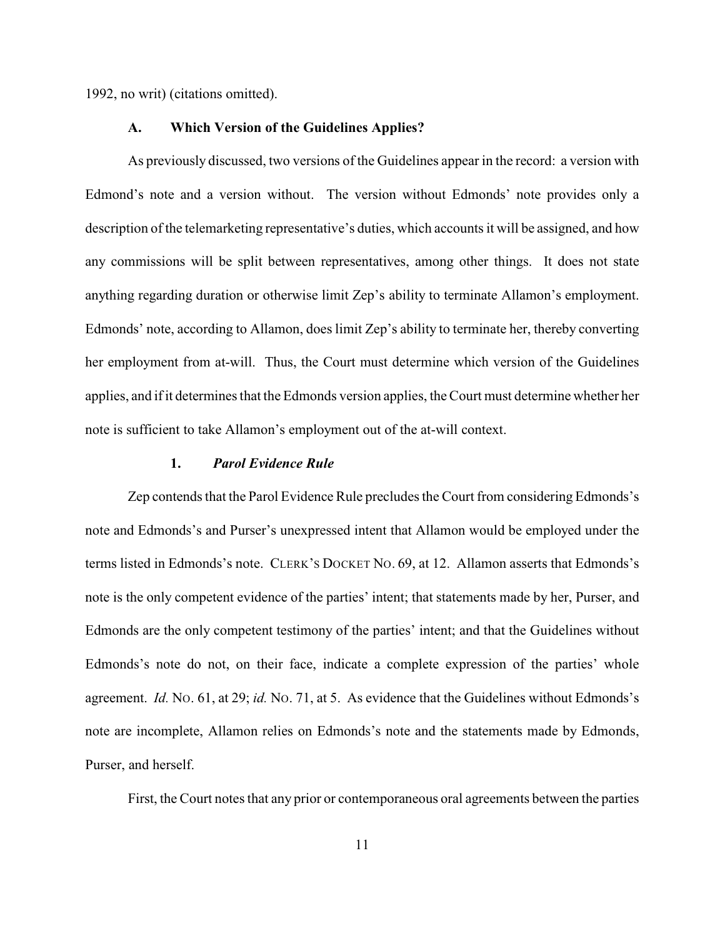1992, no writ) (citations omitted).

#### **A. Which Version of the Guidelines Applies?**

As previously discussed, two versions of the Guidelines appear in the record: a version with Edmond's note and a version without. The version without Edmonds' note provides only a description of the telemarketing representative's duties, which accounts it will be assigned, and how any commissions will be split between representatives, among other things. It does not state anything regarding duration or otherwise limit Zep's ability to terminate Allamon's employment. Edmonds' note, according to Allamon, does limit Zep's ability to terminate her, thereby converting her employment from at-will. Thus, the Court must determine which version of the Guidelines applies, and if it determines that the Edmonds version applies, the Court must determine whether her note is sufficient to take Allamon's employment out of the at-will context.

## **1.** *Parol Evidence Rule*

Zep contends that the Parol Evidence Rule precludes the Court from considering Edmonds's note and Edmonds's and Purser's unexpressed intent that Allamon would be employed under the terms listed in Edmonds's note. CLERK'S DOCKET NO. 69, at 12. Allamon asserts that Edmonds's note is the only competent evidence of the parties' intent; that statements made by her, Purser, and Edmonds are the only competent testimony of the parties' intent; and that the Guidelines without Edmonds's note do not, on their face, indicate a complete expression of the parties' whole agreement. *Id.* NO. 61, at 29; *id.* NO. 71, at 5. As evidence that the Guidelines without Edmonds's note are incomplete, Allamon relies on Edmonds's note and the statements made by Edmonds, Purser, and herself.

First, the Court notes that any prior or contemporaneous oral agreements between the parties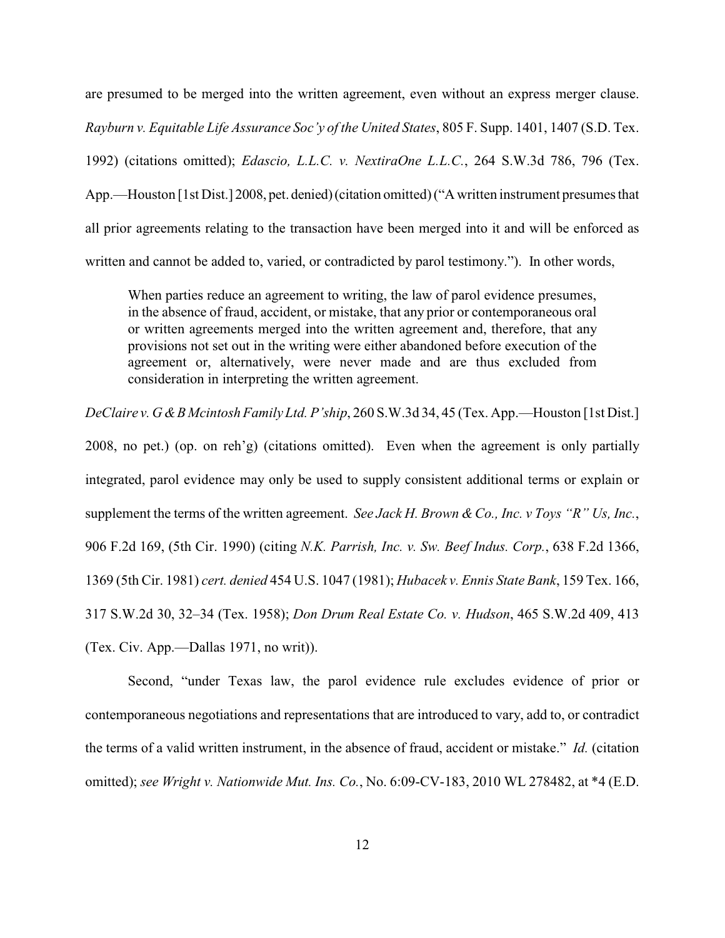are presumed to be merged into the written agreement, even without an express merger clause. *Rayburn v. Equitable Life Assurance Soc'y of the United States*, 805 F. Supp. 1401, 1407 (S.D. Tex. 1992) (citations omitted); *Edascio, L.L.C. v. NextiraOne L.L.C.*, 264 S.W.3d 786, 796 (Tex. App.—Houston [1st Dist.] 2008, pet. denied) (citation omitted) ("A written instrument presumes that all prior agreements relating to the transaction have been merged into it and will be enforced as written and cannot be added to, varied, or contradicted by parol testimony."). In other words,

When parties reduce an agreement to writing, the law of parol evidence presumes, in the absence of fraud, accident, or mistake, that any prior or contemporaneous oral or written agreements merged into the written agreement and, therefore, that any provisions not set out in the writing were either abandoned before execution of the agreement or, alternatively, were never made and are thus excluded from consideration in interpreting the written agreement.

*DeClaire v. G &B Mcintosh Family Ltd. P'ship*, 260 S.W.3d 34, 45 (Tex. App.—Houston [1st Dist.] 2008, no pet.) (op. on reh'g) (citations omitted). Even when the agreement is only partially integrated, parol evidence may only be used to supply consistent additional terms or explain or supplement the terms of the written agreement. *See Jack H. Brown & Co., Inc. v Toys "R" Us, Inc.*, 906 F.2d 169, (5th Cir. 1990) (citing *N.K. Parrish, Inc. v. Sw. Beef Indus. Corp.*, 638 F.2d 1366, 1369 (5th Cir. 1981) *cert. denied* 454 U.S. 1047 (1981); *Hubacek v. Ennis State Bank*, 159 Tex. 166, 317 S.W.2d 30, 32–34 (Tex. 1958); *Don Drum Real Estate Co. v. Hudson*, 465 S.W.2d 409, 413 (Tex. Civ. App.—Dallas 1971, no writ)).

Second, "under Texas law, the parol evidence rule excludes evidence of prior or contemporaneous negotiations and representations that are introduced to vary, add to, or contradict the terms of a valid written instrument, in the absence of fraud, accident or mistake." *Id.* (citation omitted); *see Wright v. Nationwide Mut. Ins. Co.*, No. 6:09-CV-183, 2010 WL 278482, at \*4 (E.D.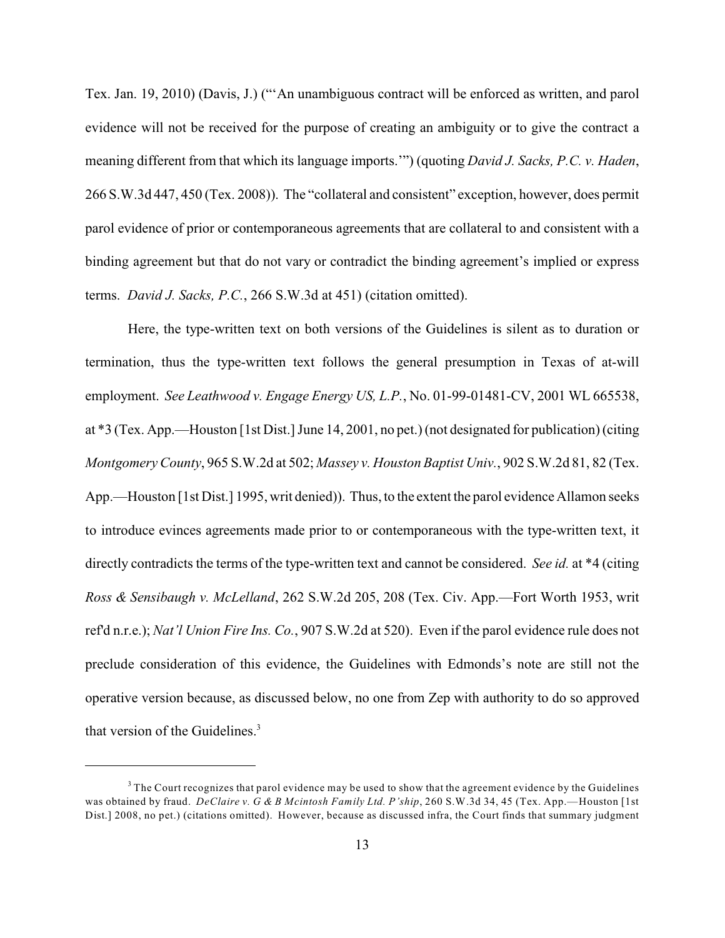Tex. Jan. 19, 2010) (Davis, J.) ("'An unambiguous contract will be enforced as written, and parol evidence will not be received for the purpose of creating an ambiguity or to give the contract a meaning different from that which its language imports.'") (quoting *David J. Sacks, P.C. v. Haden*, 266 S.W.3d 447, 450 (Tex. 2008)). The "collateral and consistent" exception, however, does permit parol evidence of prior or contemporaneous agreements that are collateral to and consistent with a binding agreement but that do not vary or contradict the binding agreement's implied or express terms. *David J. Sacks, P.C.*, 266 S.W.3d at 451) (citation omitted).

Here, the type-written text on both versions of the Guidelines is silent as to duration or termination, thus the type-written text follows the general presumption in Texas of at-will employment. *See Leathwood v. Engage Energy US, L.P.*, No. 01-99-01481-CV, 2001 WL 665538, at \*3 (Tex. App.—Houston [1st Dist.] June 14, 2001, no pet.) (not designated for publication) (citing *Montgomery County*, 965 S.W.2d at 502; *Massey v. Houston Baptist Univ.*, 902 S.W.2d 81, 82 (Tex. App.—Houston [1st Dist.] 1995, writ denied)). Thus, to the extent the parol evidence Allamon seeks to introduce evinces agreements made prior to or contemporaneous with the type-written text, it directly contradicts the terms of the type-written text and cannot be considered. *See id.* at \*4 (citing *Ross & Sensibaugh v. McLelland*, 262 S.W.2d 205, 208 (Tex. Civ. App.—Fort Worth 1953, writ ref'd n.r.e.); *Nat'l Union Fire Ins. Co.*, 907 S.W.2d at 520). Even if the parol evidence rule does not preclude consideration of this evidence, the Guidelines with Edmonds's note are still not the operative version because, as discussed below, no one from Zep with authority to do so approved that version of the Guidelines.<sup>3</sup>

<sup>&</sup>lt;sup>3</sup> The Court recognizes that parol evidence may be used to show that the agreement evidence by the Guidelines was obtained by fraud. *DeClaire v. G & B Mcintosh Family Ltd. P'ship*, 260 S.W.3d 34, 45 (Tex. App.—Houston [1st Dist.] 2008, no pet.) (citations omitted). However, because as discussed infra, the Court finds that summary judgment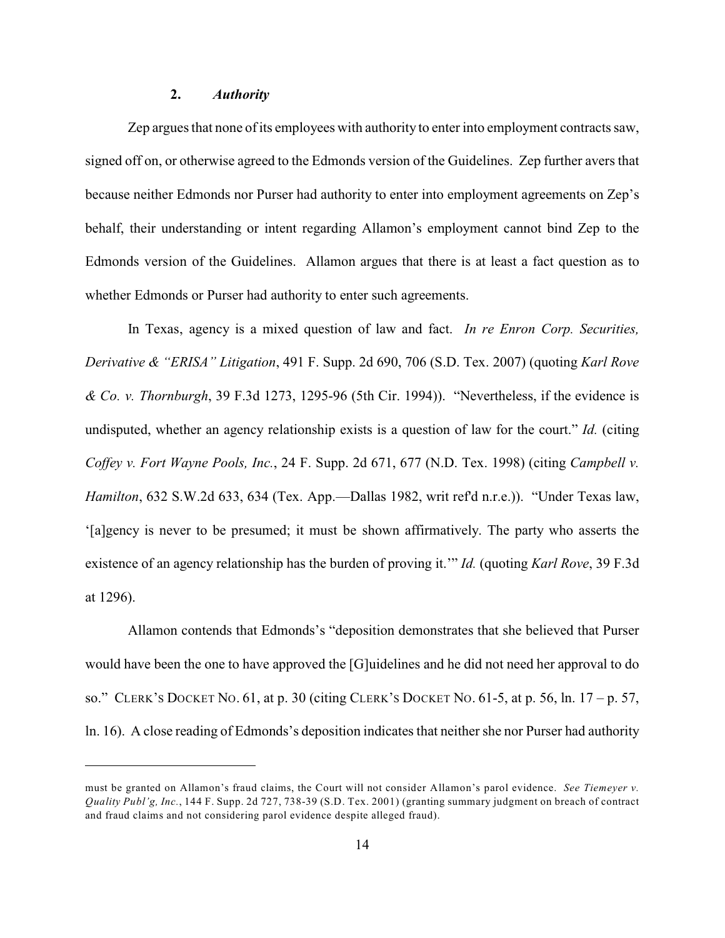### **2.** *Authority*

Zep argues that none ofits employees with authority to enter into employment contracts saw, signed off on, or otherwise agreed to the Edmonds version of the Guidelines. Zep further avers that because neither Edmonds nor Purser had authority to enter into employment agreements on Zep's behalf, their understanding or intent regarding Allamon's employment cannot bind Zep to the Edmonds version of the Guidelines. Allamon argues that there is at least a fact question as to whether Edmonds or Purser had authority to enter such agreements.

In Texas, agency is a mixed question of law and fact. *In re Enron Corp. Securities, Derivative & "ERISA" Litigation*, 491 F. Supp. 2d 690, 706 (S.D. Tex. 2007) (quoting *Karl Rove & Co. v. Thornburgh*, 39 F.3d 1273, 1295-96 (5th Cir. 1994)). "Nevertheless, if the evidence is undisputed, whether an agency relationship exists is a question of law for the court." *Id.* (citing *Coffey v. Fort Wayne Pools, Inc.*, 24 F. Supp. 2d 671, 677 (N.D. Tex. 1998) (citing *Campbell v. Hamilton*, 632 S.W.2d 633, 634 (Tex. App.—Dallas 1982, writ ref'd n.r.e.)). "Under Texas law, '[a]gency is never to be presumed; it must be shown affirmatively. The party who asserts the existence of an agency relationship has the burden of proving it.'" *Id.* (quoting *Karl Rove*, 39 F.3d at 1296).

Allamon contends that Edmonds's "deposition demonstrates that she believed that Purser would have been the one to have approved the [G]uidelines and he did not need her approval to do so." CLERK'S DOCKET NO. 61, at p. 30 (citing CLERK'S DOCKET NO. 61-5, at p. 56, ln. 17 – p. 57, ln. 16). A close reading of Edmonds's deposition indicates that neither she nor Purser had authority

must be granted on Allamon's fraud claims, the Court will not consider Allamon's parol evidence. *See Tiemeyer v. Quality Publ'g, Inc.*, 144 F. Supp. 2d 727, 738-39 (S.D. Tex. 2001) (granting summary judgment on breach of contract and fraud claims and not considering parol evidence despite alleged fraud).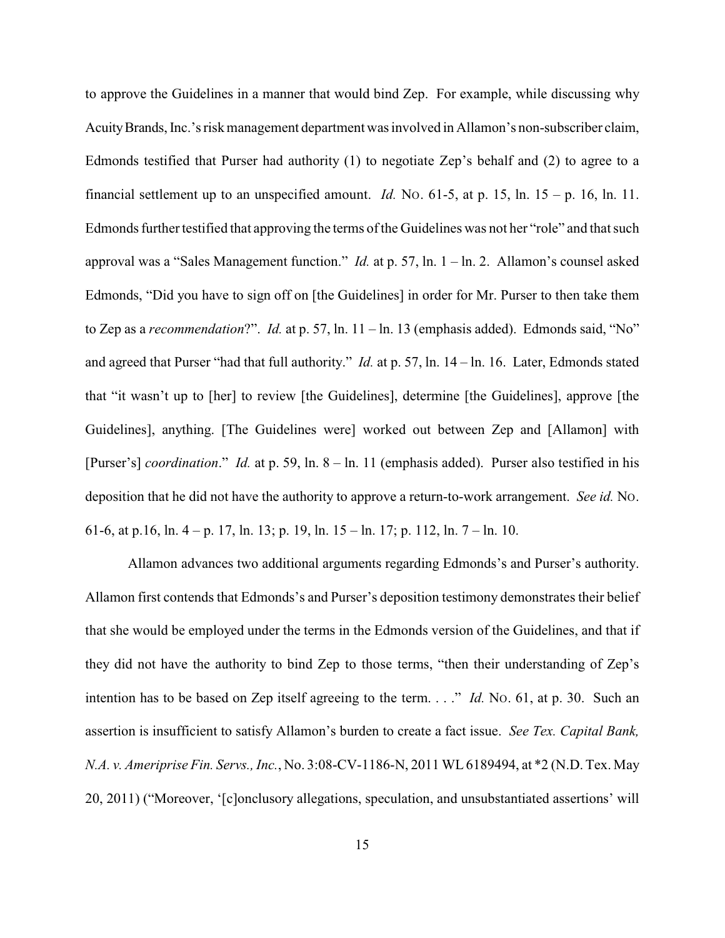to approve the Guidelines in a manner that would bind Zep. For example, while discussing why Acuity Brands, Inc.'s risk management department was involved in Allamon's non-subscriber claim, Edmonds testified that Purser had authority (1) to negotiate Zep's behalf and (2) to agree to a financial settlement up to an unspecified amount. *Id.* No. 61-5, at p. 15, ln. 15 – p. 16, ln. 11. Edmonds further testified that approving the terms of the Guidelines was not her "role" and that such approval was a "Sales Management function." *Id.* at p. 57, ln. 1 – ln. 2. Allamon's counsel asked Edmonds, "Did you have to sign off on [the Guidelines] in order for Mr. Purser to then take them to Zep as a *recommendation*?". *Id.* at p. 57, ln. 11 – ln. 13 (emphasis added). Edmonds said, "No" and agreed that Purser "had that full authority." *Id.* at p. 57, ln. 14 – ln. 16. Later, Edmonds stated that "it wasn't up to [her] to review [the Guidelines], determine [the Guidelines], approve [the Guidelines], anything. [The Guidelines were] worked out between Zep and [Allamon] with [Purser's] *coordination*." *Id.* at p. 59, ln. 8 – ln. 11 (emphasis added). Purser also testified in his deposition that he did not have the authority to approve a return-to-work arrangement. *See id.* NO. 61-6, at p.16, ln. 4 – p. 17, ln. 13; p. 19, ln. 15 – ln. 17; p. 112, ln. 7 – ln. 10.

Allamon advances two additional arguments regarding Edmonds's and Purser's authority. Allamon first contends that Edmonds's and Purser's deposition testimony demonstrates their belief that she would be employed under the terms in the Edmonds version of the Guidelines, and that if they did not have the authority to bind Zep to those terms, "then their understanding of Zep's intention has to be based on Zep itself agreeing to the term. . . ." *Id.* No. 61, at p. 30. Such an assertion is insufficient to satisfy Allamon's burden to create a fact issue. *See Tex. Capital Bank, N.A. v. Ameriprise Fin. Servs., Inc.*, No. 3:08-CV-1186-N, 2011 WL 6189494, at \*2 (N.D. Tex. May 20, 2011) ("Moreover, '[c]onclusory allegations, speculation, and unsubstantiated assertions' will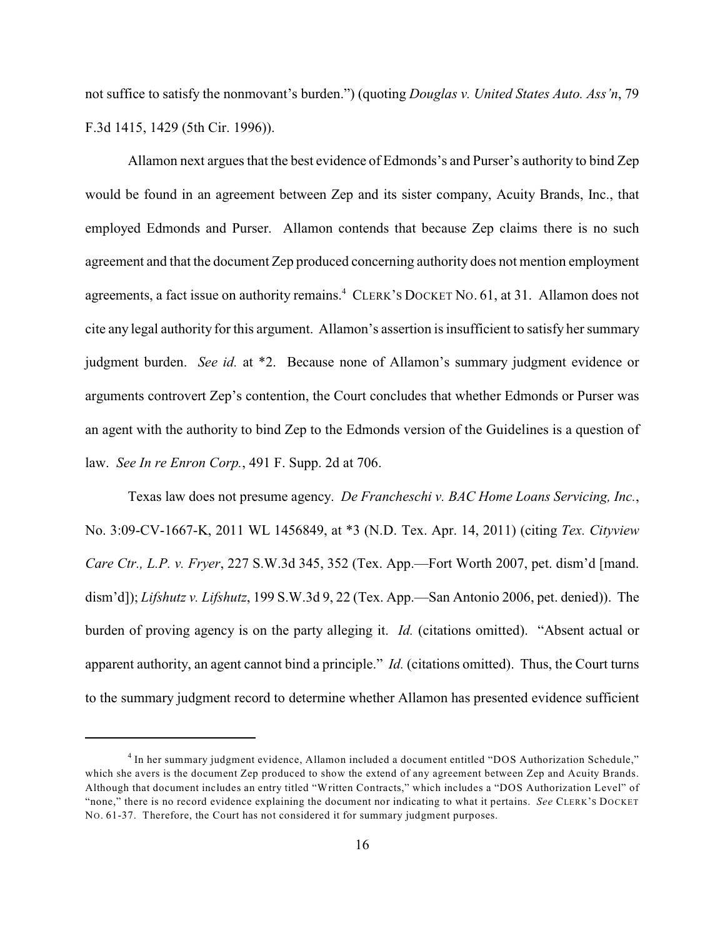not suffice to satisfy the nonmovant's burden.") (quoting *Douglas v. United States Auto. Ass'n*, 79 F.3d 1415, 1429 (5th Cir. 1996)).

Allamon next argues that the best evidence of Edmonds's and Purser's authority to bind Zep would be found in an agreement between Zep and its sister company, Acuity Brands, Inc., that employed Edmonds and Purser. Allamon contends that because Zep claims there is no such agreement and that the document Zep produced concerning authority does not mention employment agreements, a fact issue on authority remains.<sup>4</sup> CLERK's DOCKET No. 61, at 31. Allamon does not cite any legal authority for this argument. Allamon's assertion is insufficient to satisfy her summary judgment burden. *See id.* at \*2. Because none of Allamon's summary judgment evidence or arguments controvert Zep's contention, the Court concludes that whether Edmonds or Purser was an agent with the authority to bind Zep to the Edmonds version of the Guidelines is a question of law. *See In re Enron Corp.*, 491 F. Supp. 2d at 706.

Texas law does not presume agency. *De Francheschi v. BAC Home Loans Servicing, Inc.*, No. 3:09-CV-1667-K, 2011 WL 1456849, at \*3 (N.D. Tex. Apr. 14, 2011) (citing *Tex. Cityview Care Ctr., L.P. v. Fryer*, 227 S.W.3d 345, 352 (Tex. App.—Fort Worth 2007, pet. dism'd [mand. dism'd]); *Lifshutz v. Lifshutz*, 199 S.W.3d 9, 22 (Tex. App.—San Antonio 2006, pet. denied)). The burden of proving agency is on the party alleging it. *Id.* (citations omitted). "Absent actual or apparent authority, an agent cannot bind a principle." *Id.* (citations omitted). Thus, the Court turns to the summary judgment record to determine whether Allamon has presented evidence sufficient

In her summary judgment evidence, Allamon included a document entitled "DOS Authorization Schedule," <sup>4</sup> which she avers is the document Zep produced to show the extend of any agreement between Zep and Acuity Brands. Although that document includes an entry titled "Written Contracts," which includes a "DOS Authorization Level" of "none," there is no record evidence explaining the document nor indicating to what it pertains. *See* CLERK'S DOCKET NO. 61-37. Therefore, the Court has not considered it for summary judgment purposes.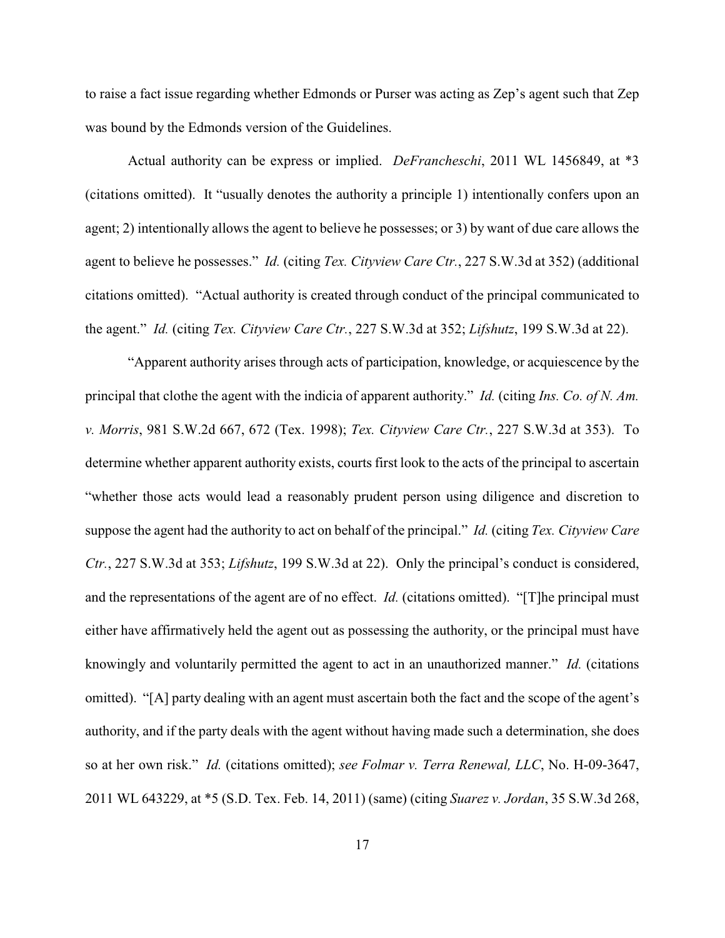to raise a fact issue regarding whether Edmonds or Purser was acting as Zep's agent such that Zep was bound by the Edmonds version of the Guidelines.

Actual authority can be express or implied. *DeFrancheschi*, 2011 WL 1456849, at \*3 (citations omitted). It "usually denotes the authority a principle 1) intentionally confers upon an agent; 2) intentionally allows the agent to believe he possesses; or 3) by want of due care allows the agent to believe he possesses." *Id.* (citing *Tex. Cityview Care Ctr.*, 227 S.W.3d at 352) (additional citations omitted). "Actual authority is created through conduct of the principal communicated to the agent." *Id.* (citing *Tex. Cityview Care Ctr.*, 227 S.W.3d at 352; *Lifshutz*, 199 S.W.3d at 22).

"Apparent authority arises through acts of participation, knowledge, or acquiescence by the principal that clothe the agent with the indicia of apparent authority." *Id.* (citing *Ins. Co. of N. Am. v. Morris*, 981 S.W.2d 667, 672 (Tex. 1998); *Tex. Cityview Care Ctr.*, 227 S.W.3d at 353). To determine whether apparent authority exists, courts first look to the acts of the principal to ascertain "whether those acts would lead a reasonably prudent person using diligence and discretion to suppose the agent had the authority to act on behalf of the principal." *Id.* (citing *Tex. Cityview Care Ctr.*, 227 S.W.3d at 353; *Lifshutz*, 199 S.W.3d at 22). Only the principal's conduct is considered, and the representations of the agent are of no effect. *Id.* (citations omitted). "[T]he principal must either have affirmatively held the agent out as possessing the authority, or the principal must have knowingly and voluntarily permitted the agent to act in an unauthorized manner." *Id.* (citations omitted). "[A] party dealing with an agent must ascertain both the fact and the scope of the agent's authority, and if the party deals with the agent without having made such a determination, she does so at her own risk." *Id.* (citations omitted); *see Folmar v. Terra Renewal, LLC*, No. H-09-3647, 2011 WL 643229, at \*5 (S.D. Tex. Feb. 14, 2011) (same) (citing *Suarez v. Jordan*, 35 S.W.3d 268,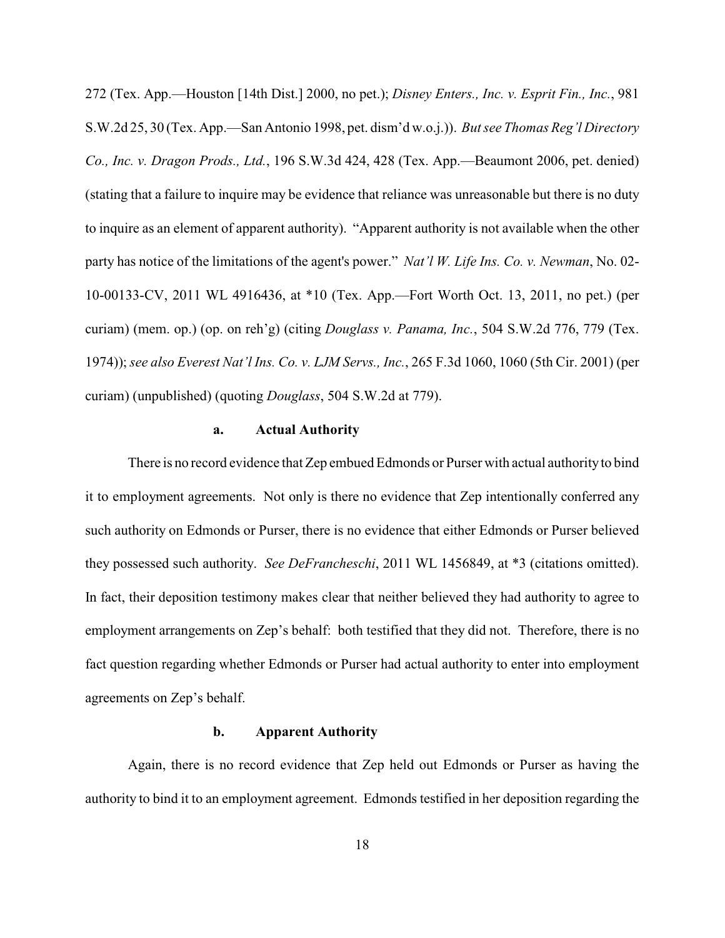272 (Tex. App.—Houston [14th Dist.] 2000, no pet.); *Disney Enters., Inc. v. Esprit Fin., Inc.*, 981 S.W.2d 25, 30 (Tex. App.—San Antonio 1998, pet. dism'd w.o.j.)). *But see Thomas Reg'l Directory Co., Inc. v. Dragon Prods., Ltd.*, 196 S.W.3d 424, 428 (Tex. App.—Beaumont 2006, pet. denied) (stating that a failure to inquire may be evidence that reliance was unreasonable but there is no duty to inquire as an element of apparent authority). "Apparent authority is not available when the other party has notice of the limitations of the agent's power." *Nat'l W. Life Ins. Co. v. Newman*, No. 02- 10-00133-CV, 2011 WL 4916436, at \*10 (Tex. App.—Fort Worth Oct. 13, 2011, no pet.) (per curiam) (mem. op.) (op. on reh'g) (citing *Douglass v. Panama, Inc.*, 504 S.W.2d 776, 779 (Tex. 1974)); *see also Everest Nat'l Ins. Co. v. LJM Servs., Inc.*, 265 F.3d 1060, 1060 (5th Cir. 2001) (per curiam) (unpublished) (quoting *Douglass*, 504 S.W.2d at 779).

## **a. Actual Authority**

There is no record evidence that Zep embued Edmonds or Purser with actual authority to bind it to employment agreements. Not only is there no evidence that Zep intentionally conferred any such authority on Edmonds or Purser, there is no evidence that either Edmonds or Purser believed they possessed such authority. *See DeFrancheschi*, 2011 WL 1456849, at \*3 (citations omitted). In fact, their deposition testimony makes clear that neither believed they had authority to agree to employment arrangements on Zep's behalf: both testified that they did not. Therefore, there is no fact question regarding whether Edmonds or Purser had actual authority to enter into employment agreements on Zep's behalf.

### **b. Apparent Authority**

Again, there is no record evidence that Zep held out Edmonds or Purser as having the authority to bind it to an employment agreement. Edmonds testified in her deposition regarding the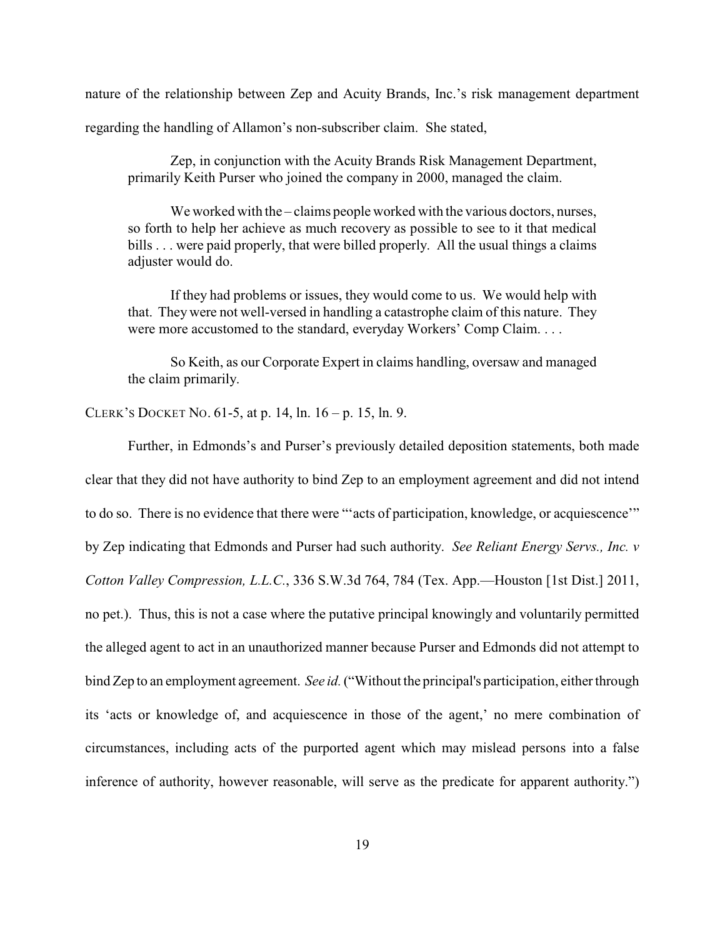nature of the relationship between Zep and Acuity Brands, Inc.'s risk management department

regarding the handling of Allamon's non-subscriber claim. She stated,

Zep, in conjunction with the Acuity Brands Risk Management Department, primarily Keith Purser who joined the company in 2000, managed the claim.

We worked with the – claims people worked with the various doctors, nurses, so forth to help her achieve as much recovery as possible to see to it that medical bills . . . were paid properly, that were billed properly. All the usual things a claims adjuster would do.

If they had problems or issues, they would come to us. We would help with that. They were not well-versed in handling a catastrophe claim of this nature. They were more accustomed to the standard, everyday Workers' Comp Claim. . . .

So Keith, as our Corporate Expert in claims handling, oversaw and managed the claim primarily.

CLERK'S DOCKET NO. 61-5, at p. 14, ln. 16 – p. 15, ln. 9.

Further, in Edmonds's and Purser's previously detailed deposition statements, both made clear that they did not have authority to bind Zep to an employment agreement and did not intend to do so. There is no evidence that there were "'acts of participation, knowledge, or acquiescence'" by Zep indicating that Edmonds and Purser had such authority. *See Reliant Energy Servs., Inc. v Cotton Valley Compression, L.L.C.*, 336 S.W.3d 764, 784 (Tex. App.—Houston [1st Dist.] 2011, no pet.). Thus, this is not a case where the putative principal knowingly and voluntarily permitted the alleged agent to act in an unauthorized manner because Purser and Edmonds did not attempt to bind Zep to an employment agreement. *See id.* ("Without the principal's participation, either through its 'acts or knowledge of, and acquiescence in those of the agent,' no mere combination of circumstances, including acts of the purported agent which may mislead persons into a false inference of authority, however reasonable, will serve as the predicate for apparent authority.")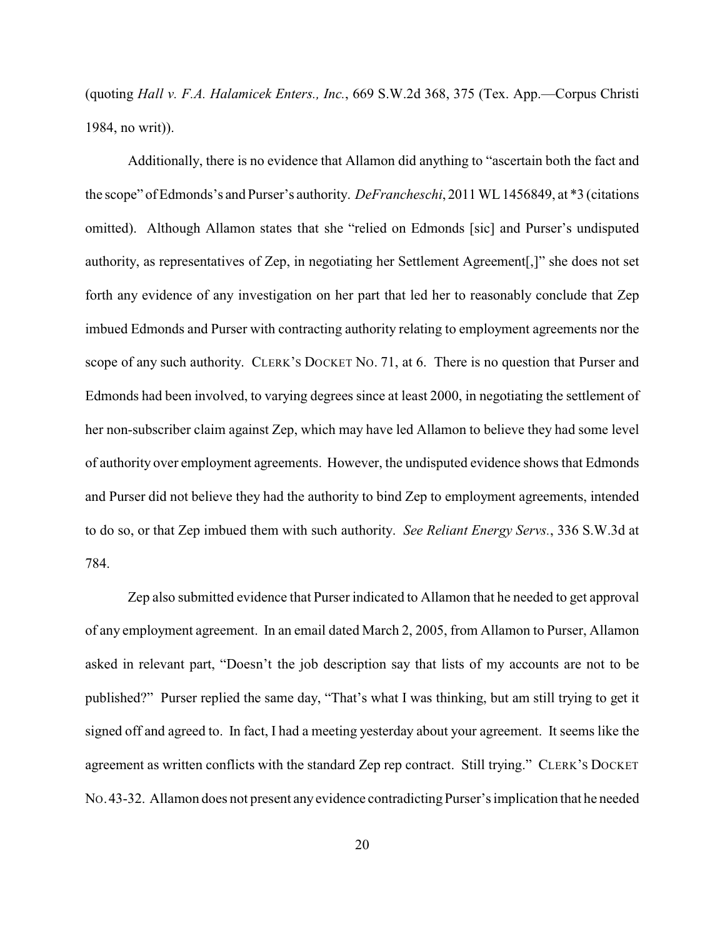(quoting *Hall v. F.A. Halamicek Enters., Inc.*, 669 S.W.2d 368, 375 (Tex. App.—Corpus Christi 1984, no writ)).

Additionally, there is no evidence that Allamon did anything to "ascertain both the fact and the scope" of Edmonds's and Purser's authority. *DeFrancheschi*, 2011 WL 1456849, at \*3 (citations omitted). Although Allamon states that she "relied on Edmonds [sic] and Purser's undisputed authority, as representatives of Zep, in negotiating her Settlement Agreement[,]" she does not set forth any evidence of any investigation on her part that led her to reasonably conclude that Zep imbued Edmonds and Purser with contracting authority relating to employment agreements nor the scope of any such authority. CLERK'S DOCKET NO. 71, at 6. There is no question that Purser and Edmonds had been involved, to varying degrees since at least 2000, in negotiating the settlement of her non-subscriber claim against Zep, which may have led Allamon to believe they had some level of authority over employment agreements. However, the undisputed evidence shows that Edmonds and Purser did not believe they had the authority to bind Zep to employment agreements, intended to do so, or that Zep imbued them with such authority. *See Reliant Energy Servs.*, 336 S.W.3d at 784.

Zep also submitted evidence that Purser indicated to Allamon that he needed to get approval of any employment agreement. In an email dated March 2, 2005, from Allamon to Purser, Allamon asked in relevant part, "Doesn't the job description say that lists of my accounts are not to be published?" Purser replied the same day, "That's what I was thinking, but am still trying to get it signed off and agreed to. In fact, I had a meeting yesterday about your agreement. It seems like the agreement as written conflicts with the standard Zep rep contract. Still trying." CLERK'S DOCKET NO.43-32. Allamon does not present any evidence contradicting Purser's implication that he needed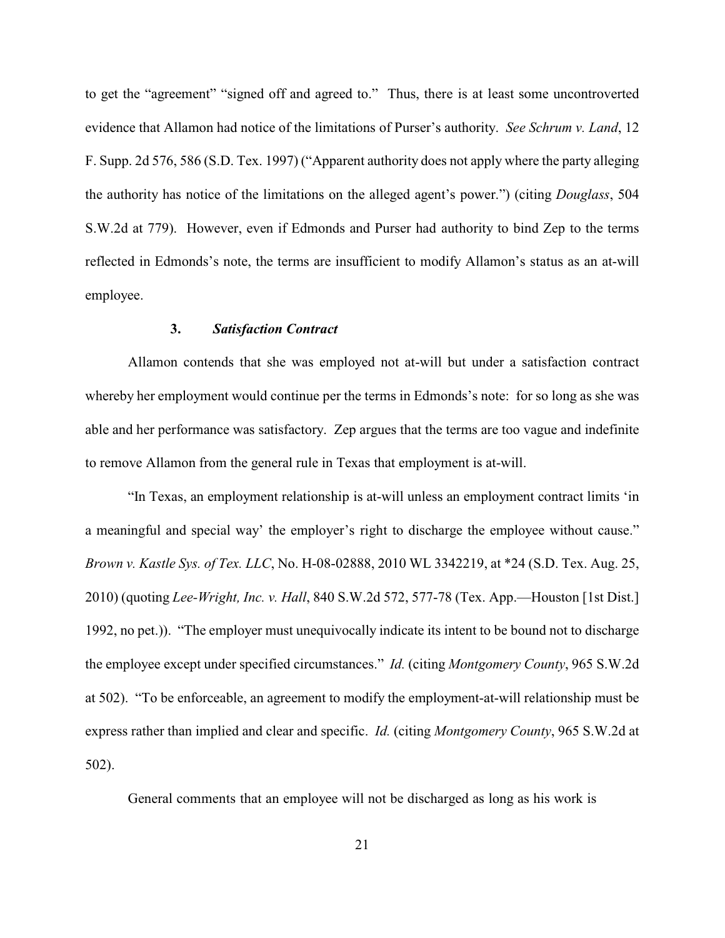to get the "agreement" "signed off and agreed to." Thus, there is at least some uncontroverted evidence that Allamon had notice of the limitations of Purser's authority. *See Schrum v. Land*, 12 F. Supp. 2d 576, 586 (S.D. Tex. 1997) ("Apparent authority does not apply where the party alleging the authority has notice of the limitations on the alleged agent's power.") (citing *Douglass*, 504 S.W.2d at 779). However, even if Edmonds and Purser had authority to bind Zep to the terms reflected in Edmonds's note, the terms are insufficient to modify Allamon's status as an at-will employee.

### **3.** *Satisfaction Contract*

Allamon contends that she was employed not at-will but under a satisfaction contract whereby her employment would continue per the terms in Edmonds's note: for so long as she was able and her performance was satisfactory. Zep argues that the terms are too vague and indefinite to remove Allamon from the general rule in Texas that employment is at-will.

"In Texas, an employment relationship is at-will unless an employment contract limits 'in a meaningful and special way' the employer's right to discharge the employee without cause." *Brown v. Kastle Sys. of Tex. LLC*, No. H-08-02888, 2010 WL 3342219, at \*24 (S.D. Tex. Aug. 25, 2010) (quoting *Lee-Wright, Inc. v. Hall*, 840 S.W.2d 572, 577-78 (Tex. App.—Houston [1st Dist.] 1992, no pet.)). "The employer must unequivocally indicate its intent to be bound not to discharge the employee except under specified circumstances." *Id.* (citing *Montgomery County*, 965 S.W.2d at 502). "To be enforceable, an agreement to modify the employment-at-will relationship must be express rather than implied and clear and specific. *Id.* (citing *Montgomery County*, 965 S.W.2d at 502).

General comments that an employee will not be discharged as long as his work is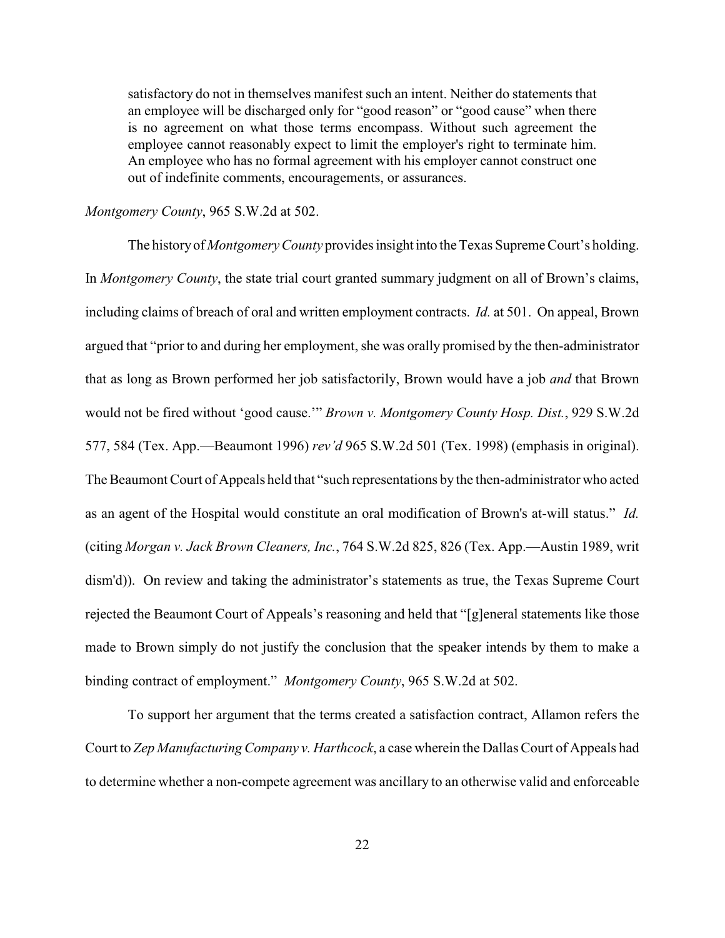satisfactory do not in themselves manifest such an intent. Neither do statements that an employee will be discharged only for "good reason" or "good cause" when there is no agreement on what those terms encompass. Without such agreement the employee cannot reasonably expect to limit the employer's right to terminate him. An employee who has no formal agreement with his employer cannot construct one out of indefinite comments, encouragements, or assurances.

*Montgomery County*, 965 S.W.2d at 502.

The history of *Montgomery County* provides insight into the Texas Supreme Court's holding. In *Montgomery County*, the state trial court granted summary judgment on all of Brown's claims, including claims of breach of oral and written employment contracts. *Id.* at 501. On appeal, Brown argued that "prior to and during her employment, she was orally promised by the then-administrator that as long as Brown performed her job satisfactorily, Brown would have a job *and* that Brown would not be fired without 'good cause.'" *Brown v. Montgomery County Hosp. Dist.*, 929 S.W.2d 577, 584 (Tex. App.—Beaumont 1996) *rev'd* 965 S.W.2d 501 (Tex. 1998) (emphasis in original). The Beaumont Court of Appeals held that "such representations by the then-administrator who acted as an agent of the Hospital would constitute an oral modification of Brown's at-will status." *Id.* (citing *Morgan v. Jack Brown Cleaners, Inc.*, 764 S.W.2d 825, 826 (Tex. App.—Austin 1989, writ dism'd)). On review and taking the administrator's statements as true, the Texas Supreme Court rejected the Beaumont Court of Appeals's reasoning and held that "[g]eneral statements like those made to Brown simply do not justify the conclusion that the speaker intends by them to make a binding contract of employment." *Montgomery County*, 965 S.W.2d at 502.

To support her argument that the terms created a satisfaction contract, Allamon refers the Court to *Zep Manufacturing Company v. Harthcock*, a case wherein the Dallas Court of Appeals had to determine whether a non-compete agreement was ancillary to an otherwise valid and enforceable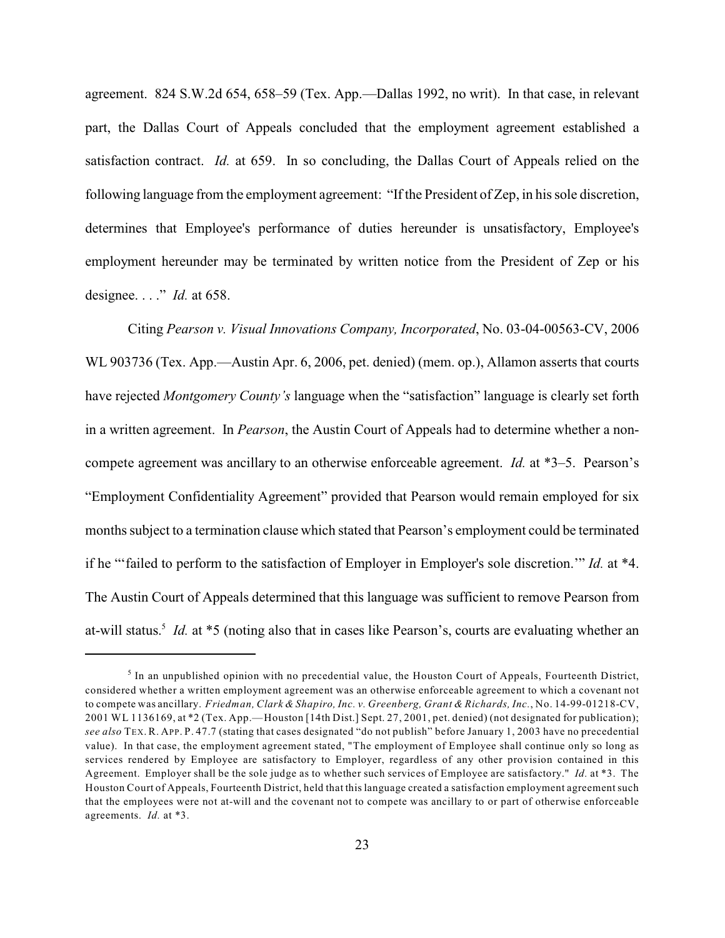agreement. 824 S.W.2d 654, 658–59 (Tex. App.—Dallas 1992, no writ). In that case, in relevant part, the Dallas Court of Appeals concluded that the employment agreement established a satisfaction contract. *Id.* at 659. In so concluding, the Dallas Court of Appeals relied on the following language from the employment agreement: "If the President of Zep, in his sole discretion, determines that Employee's performance of duties hereunder is unsatisfactory, Employee's employment hereunder may be terminated by written notice from the President of Zep or his designee. . . ." *Id.* at 658.

Citing *Pearson v. Visual Innovations Company, Incorporated*, No. 03-04-00563-CV, 2006 WL 903736 (Tex. App.—Austin Apr. 6, 2006, pet. denied) (mem. op.), Allamon asserts that courts have rejected *Montgomery County's* language when the "satisfaction" language is clearly set forth in a written agreement. In *Pearson*, the Austin Court of Appeals had to determine whether a noncompete agreement was ancillary to an otherwise enforceable agreement. *Id.* at \*3–5. Pearson's "Employment Confidentiality Agreement" provided that Pearson would remain employed for six months subject to a termination clause which stated that Pearson's employment could be terminated if he "'failed to perform to the satisfaction of Employer in Employer's sole discretion.'" *Id.* at \*4. The Austin Court of Appeals determined that this language was sufficient to remove Pearson from at-will status.<sup>5</sup> Id. at \*5 (noting also that in cases like Pearson's, courts are evaluating whether an

 $<sup>5</sup>$  In an unpublished opinion with no precedential value, the Houston Court of Appeals, Fourteenth District,</sup> considered whether a written employment agreement was an otherwise enforceable agreement to which a covenant not to compete was ancillary. *Friedman, Clark & Shapiro, Inc. v. Greenberg, Grant & Richards, Inc.*, No. 14-99-01218-CV, 2001 WL 1136169, at \*2 (Tex. App.—Houston [14th Dist.] Sept. 27, 2001, pet. denied) (not designated for publication); *see also* TEX. R. APP. P. 47.7 (stating that cases designated "do not publish" before January 1, 2003 have no precedential value). In that case, the employment agreement stated, "The employment of Employee shall continue only so long as services rendered by Employee are satisfactory to Employer, regardless of any other provision contained in this Agreement. Employer shall be the sole judge as to whether such services of Employee are satisfactory." *Id.* at \*3. The Houston Court of Appeals, Fourteenth District, held that this language created a satisfaction employment agreement such that the employees were not at-will and the covenant not to compete was ancillary to or part of otherwise enforceable agreements. *Id.* at \*3.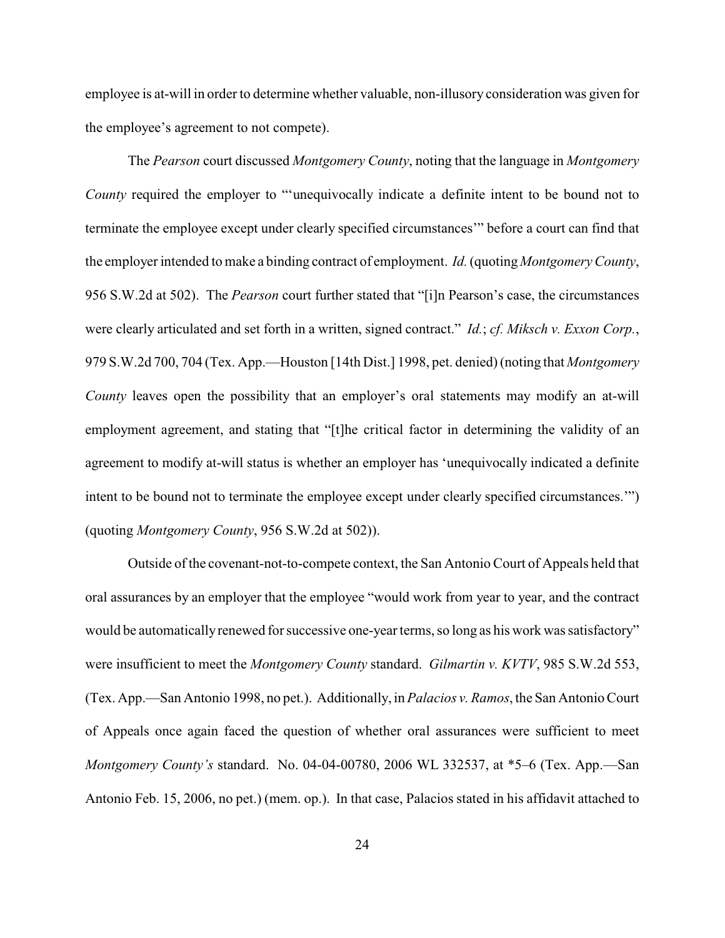employee is at-will in order to determine whether valuable, non-illusory consideration was given for the employee's agreement to not compete).

The *Pearson* court discussed *Montgomery County*, noting that the language in *Montgomery County* required the employer to "'unequivocally indicate a definite intent to be bound not to terminate the employee except under clearly specified circumstances'" before a court can find that the employer intended to make a binding contract of employment. *Id.* (quoting *Montgomery County*, 956 S.W.2d at 502). The *Pearson* court further stated that "[i]n Pearson's case, the circumstances were clearly articulated and set forth in a written, signed contract." *Id.*; *cf. Miksch v. Exxon Corp.*, 979 S.W.2d 700, 704 (Tex. App.—Houston [14th Dist.] 1998, pet. denied) (noting that *Montgomery County* leaves open the possibility that an employer's oral statements may modify an at-will employment agreement, and stating that "[t]he critical factor in determining the validity of an agreement to modify at-will status is whether an employer has 'unequivocally indicated a definite intent to be bound not to terminate the employee except under clearly specified circumstances.'") (quoting *Montgomery County*, 956 S.W.2d at 502)).

Outside of the covenant-not-to-compete context, the San Antonio Court of Appeals held that oral assurances by an employer that the employee "would work from year to year, and the contract would be automatically renewed for successive one-year terms, so long as his work was satisfactory" were insufficient to meet the *Montgomery County* standard. *Gilmartin v. KVTV*, 985 S.W.2d 553, (Tex. App.—San Antonio 1998, no pet.). Additionally, in *Palacios v. Ramos*, the San Antonio Court of Appeals once again faced the question of whether oral assurances were sufficient to meet *Montgomery County's* standard. No. 04-04-00780, 2006 WL 332537, at \*5–6 (Tex. App.—San Antonio Feb. 15, 2006, no pet.) (mem. op.). In that case, Palacios stated in his affidavit attached to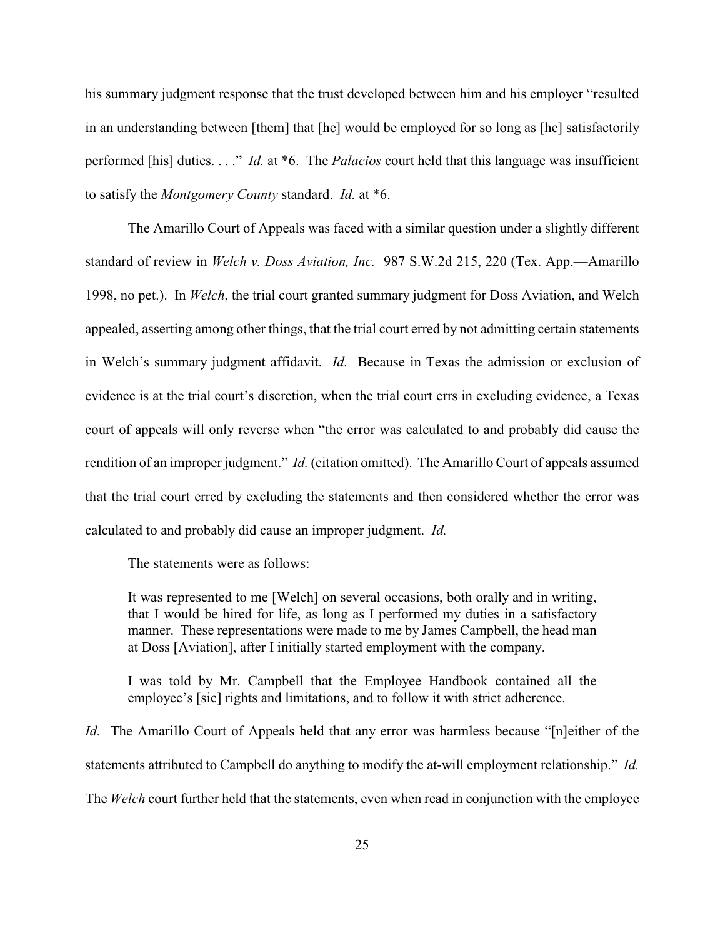his summary judgment response that the trust developed between him and his employer "resulted in an understanding between [them] that [he] would be employed for so long as [he] satisfactorily performed [his] duties. . . ." *Id.* at \*6. The *Palacios* court held that this language was insufficient to satisfy the *Montgomery County* standard. *Id.* at \*6.

The Amarillo Court of Appeals was faced with a similar question under a slightly different standard of review in *Welch v. Doss Aviation, Inc.* 987 S.W.2d 215, 220 (Tex. App.—Amarillo 1998, no pet.). In *Welch*, the trial court granted summary judgment for Doss Aviation, and Welch appealed, asserting among other things, that the trial court erred by not admitting certain statements in Welch's summary judgment affidavit. *Id.* Because in Texas the admission or exclusion of evidence is at the trial court's discretion, when the trial court errs in excluding evidence, a Texas court of appeals will only reverse when "the error was calculated to and probably did cause the rendition of an improper judgment." *Id.* (citation omitted). The Amarillo Court of appeals assumed that the trial court erred by excluding the statements and then considered whether the error was calculated to and probably did cause an improper judgment. *Id.*

The statements were as follows:

It was represented to me [Welch] on several occasions, both orally and in writing, that I would be hired for life, as long as I performed my duties in a satisfactory manner. These representations were made to me by James Campbell, the head man at Doss [Aviation], after I initially started employment with the company.

I was told by Mr. Campbell that the Employee Handbook contained all the employee's [sic] rights and limitations, and to follow it with strict adherence.

*Id.* The Amarillo Court of Appeals held that any error was harmless because "[n]either of the statements attributed to Campbell do anything to modify the at-will employment relationship." *Id.* The *Welch* court further held that the statements, even when read in conjunction with the employee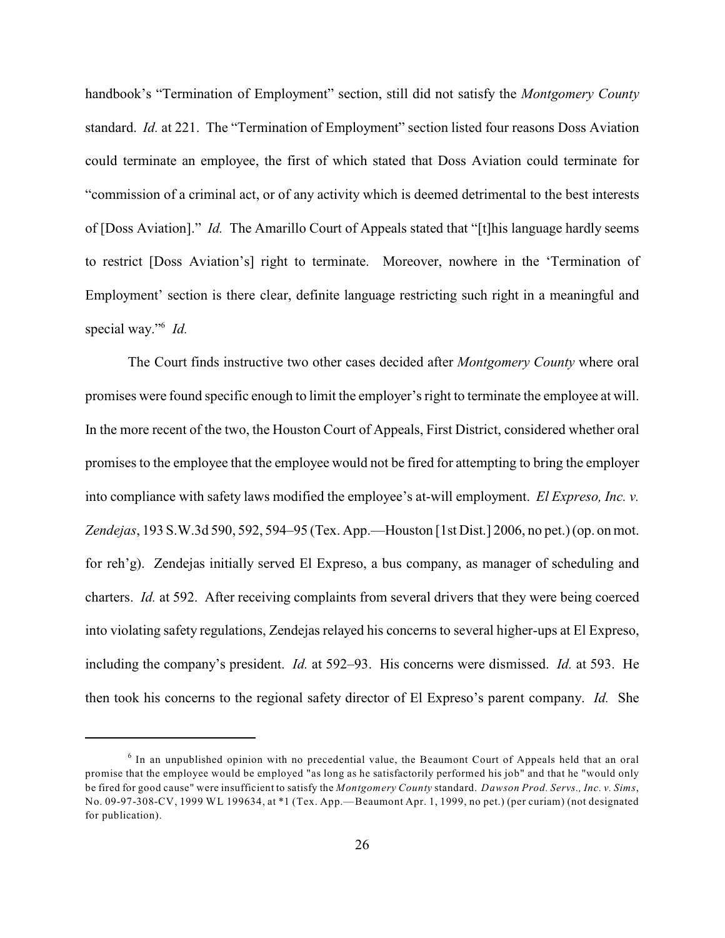handbook's "Termination of Employment" section, still did not satisfy the *Montgomery County* standard. *Id.* at 221. The "Termination of Employment" section listed four reasons Doss Aviation could terminate an employee, the first of which stated that Doss Aviation could terminate for "commission of a criminal act, or of any activity which is deemed detrimental to the best interests of [Doss Aviation]." *Id.* The Amarillo Court of Appeals stated that "[t]his language hardly seems to restrict [Doss Aviation's] right to terminate. Moreover, nowhere in the 'Termination of Employment' section is there clear, definite language restricting such right in a meaningful and special way."<sup>6</sup> *Id.* 

The Court finds instructive two other cases decided after *Montgomery County* where oral promises were found specific enough to limit the employer's right to terminate the employee at will. In the more recent of the two, the Houston Court of Appeals, First District, considered whether oral promises to the employee that the employee would not be fired for attempting to bring the employer into compliance with safety laws modified the employee's at-will employment. *El Expreso, Inc. v. Zendejas*, 193 S.W.3d 590, 592, 594–95 (Tex. App.—Houston [1st Dist.] 2006, no pet.) (op. on mot. for reh'g). Zendejas initially served El Expreso, a bus company, as manager of scheduling and charters. *Id.* at 592. After receiving complaints from several drivers that they were being coerced into violating safety regulations, Zendejas relayed his concerns to several higher-ups at El Expreso, including the company's president. *Id.* at 592–93. His concerns were dismissed. *Id.* at 593. He then took his concerns to the regional safety director of El Expreso's parent company. *Id.* She

 $6$  In an unpublished opinion with no precedential value, the Beaumont Court of Appeals held that an oral promise that the employee would be employed "as long as he satisfactorily performed his job" and that he "would only be fired for good cause" were insufficient to satisfy the *Montgomery County* standard. *Dawson Prod. Servs., Inc. v. Sims*, No. 09-97-308-CV, 1999 WL 199634, at \*1 (Tex. App.—Beaumont Apr. 1, 1999, no pet.) (per curiam) (not designated for publication).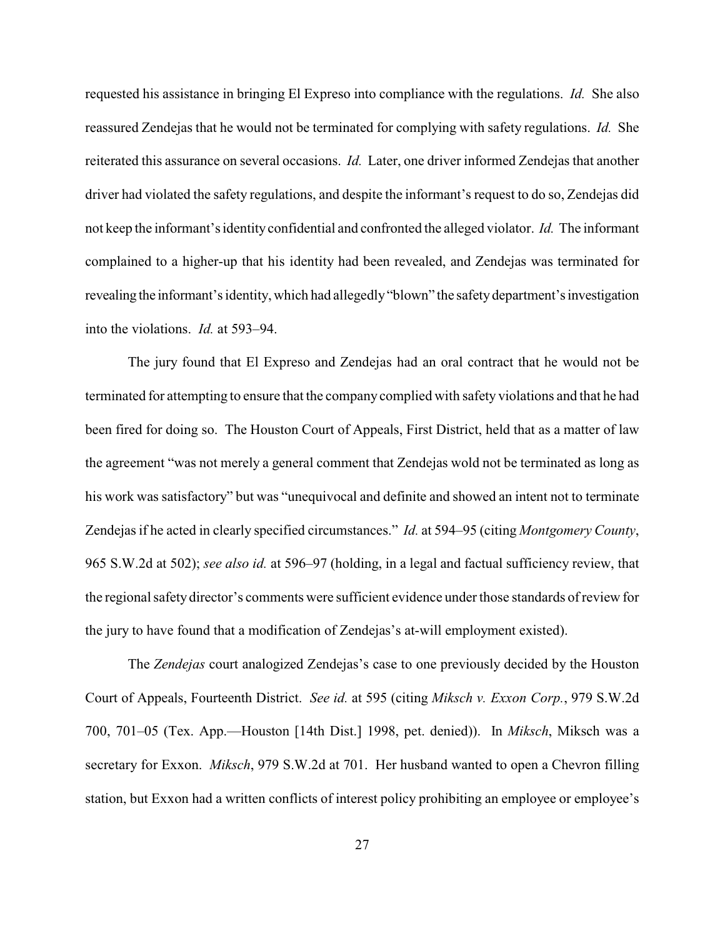requested his assistance in bringing El Expreso into compliance with the regulations. *Id.* She also reassured Zendejas that he would not be terminated for complying with safety regulations. *Id.* She reiterated this assurance on several occasions. *Id.* Later, one driver informed Zendejas that another driver had violated the safety regulations, and despite the informant's request to do so, Zendejas did not keep the informant's identityconfidential and confronted the alleged violator. *Id.* The informant complained to a higher-up that his identity had been revealed, and Zendejas was terminated for revealing the informant's identity, which had allegedly "blown" the safety department's investigation into the violations. *Id.* at 593–94.

The jury found that El Expreso and Zendejas had an oral contract that he would not be terminated for attempting to ensure that the company complied with safety violations and that he had been fired for doing so. The Houston Court of Appeals, First District, held that as a matter of law the agreement "was not merely a general comment that Zendejas wold not be terminated as long as his work was satisfactory" but was "unequivocal and definite and showed an intent not to terminate Zendejas if he acted in clearly specified circumstances." *Id.* at 594–95 (citing *Montgomery County*, 965 S.W.2d at 502); *see also id.* at 596–97 (holding, in a legal and factual sufficiency review, that the regional safety director's comments were sufficient evidence under those standards of review for the jury to have found that a modification of Zendejas's at-will employment existed).

The *Zendejas* court analogized Zendejas's case to one previously decided by the Houston Court of Appeals, Fourteenth District. *See id.* at 595 (citing *Miksch v. Exxon Corp.*, 979 S.W.2d 700, 701–05 (Tex. App.—Houston [14th Dist.] 1998, pet. denied)). In *Miksch*, Miksch was a secretary for Exxon. *Miksch*, 979 S.W.2d at 701. Her husband wanted to open a Chevron filling station, but Exxon had a written conflicts of interest policy prohibiting an employee or employee's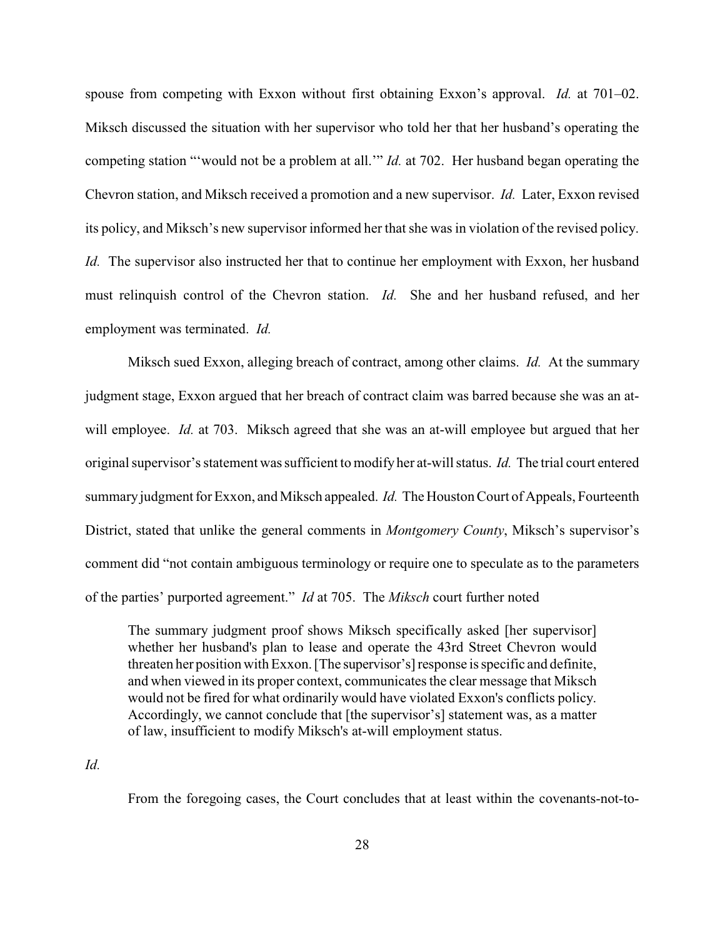spouse from competing with Exxon without first obtaining Exxon's approval. *Id.* at 701–02. Miksch discussed the situation with her supervisor who told her that her husband's operating the competing station "'would not be a problem at all.'" *Id.* at 702. Her husband began operating the Chevron station, and Miksch received a promotion and a new supervisor. *Id.* Later, Exxon revised its policy, and Miksch's new supervisor informed her that she was in violation of the revised policy. *Id.* The supervisor also instructed her that to continue her employment with Exxon, her husband must relinquish control of the Chevron station. *Id.* She and her husband refused, and her employment was terminated. *Id.*

Miksch sued Exxon, alleging breach of contract, among other claims. *Id.* At the summary judgment stage, Exxon argued that her breach of contract claim was barred because she was an atwill employee. *Id.* at 703. Miksch agreed that she was an at-will employee but argued that her original supervisor's statement was sufficient to modify her at-will status. *Id.* The trial court entered summary judgment for Exxon, and Miksch appealed. *Id.* The Houston Court of Appeals, Fourteenth District, stated that unlike the general comments in *Montgomery County*, Miksch's supervisor's comment did "not contain ambiguous terminology or require one to speculate as to the parameters of the parties' purported agreement." *Id* at 705. The *Miksch* court further noted

The summary judgment proof shows Miksch specifically asked [her supervisor] whether her husband's plan to lease and operate the 43rd Street Chevron would threaten her position with Exxon. [The supervisor's] response is specific and definite, and when viewed in its proper context, communicates the clear message that Miksch would not be fired for what ordinarily would have violated Exxon's conflicts policy. Accordingly, we cannot conclude that [the supervisor's] statement was, as a matter of law, insufficient to modify Miksch's at-will employment status.

*Id.*

From the foregoing cases, the Court concludes that at least within the covenants-not-to-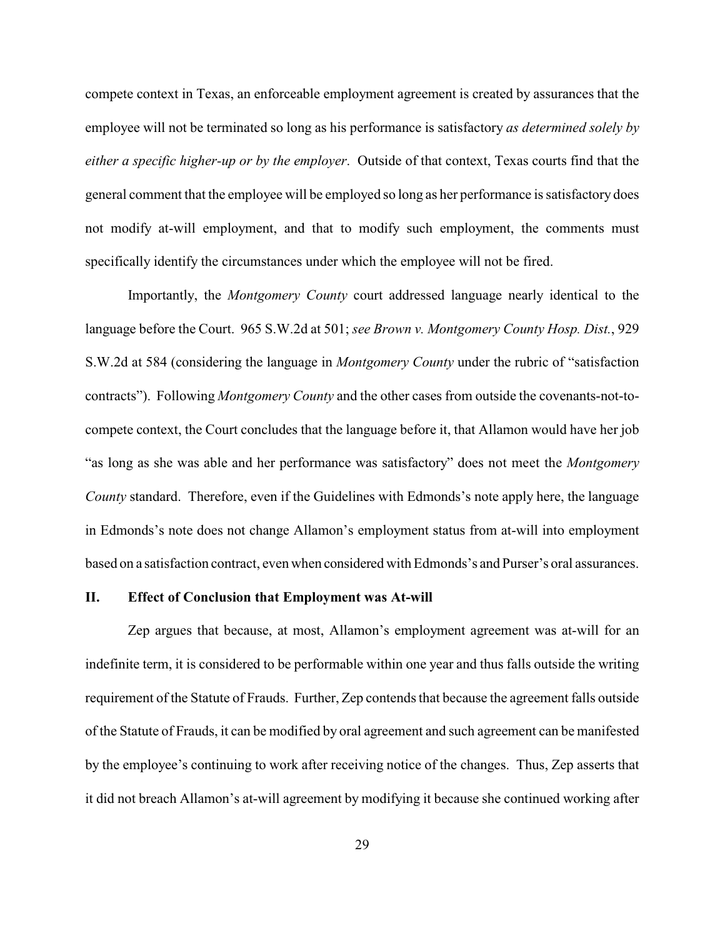compete context in Texas, an enforceable employment agreement is created by assurances that the employee will not be terminated so long as his performance is satisfactory *as determined solely by either a specific higher-up or by the employer*. Outside of that context, Texas courts find that the general comment that the employee will be employed so long as her performance is satisfactory does not modify at-will employment, and that to modify such employment, the comments must specifically identify the circumstances under which the employee will not be fired.

Importantly, the *Montgomery County* court addressed language nearly identical to the language before the Court. 965 S.W.2d at 501; *see Brown v. Montgomery County Hosp. Dist.*, 929 S.W.2d at 584 (considering the language in *Montgomery County* under the rubric of "satisfaction contracts"). Following *Montgomery County* and the other cases from outside the covenants-not-tocompete context, the Court concludes that the language before it, that Allamon would have her job "as long as she was able and her performance was satisfactory" does not meet the *Montgomery County* standard. Therefore, even if the Guidelines with Edmonds's note apply here, the language in Edmonds's note does not change Allamon's employment status from at-will into employment based on a satisfaction contract, even when considered with Edmonds's and Purser's oral assurances.

#### **II. Effect of Conclusion that Employment was At-will**

Zep argues that because, at most, Allamon's employment agreement was at-will for an indefinite term, it is considered to be performable within one year and thus falls outside the writing requirement of the Statute of Frauds. Further, Zep contends that because the agreement falls outside of the Statute of Frauds, it can be modified by oral agreement and such agreement can be manifested by the employee's continuing to work after receiving notice of the changes. Thus, Zep asserts that it did not breach Allamon's at-will agreement by modifying it because she continued working after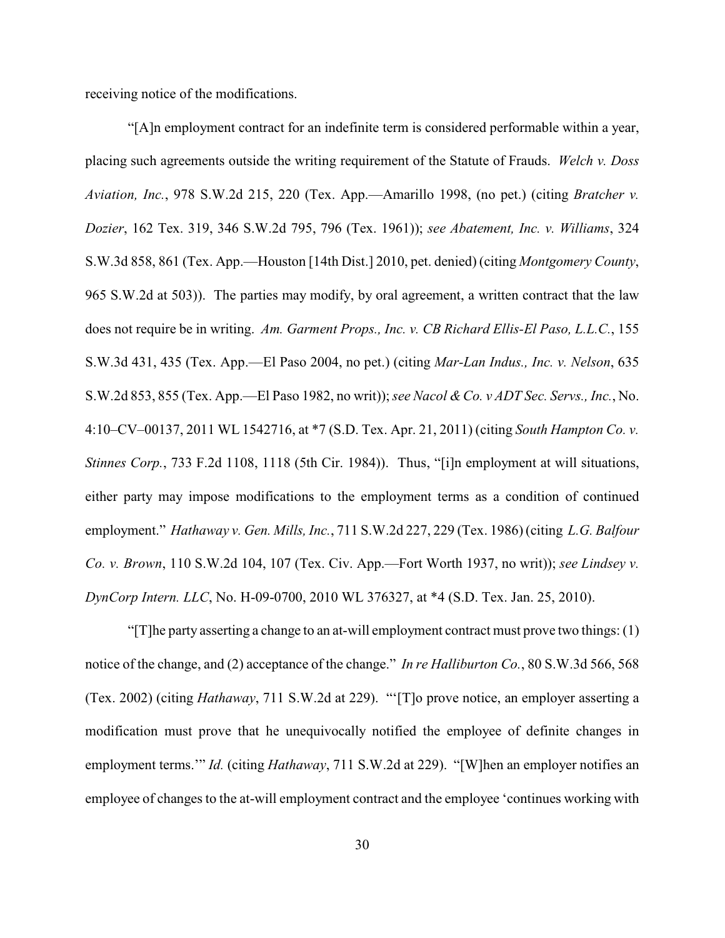receiving notice of the modifications.

"[A]n employment contract for an indefinite term is considered performable within a year, placing such agreements outside the writing requirement of the Statute of Frauds. *Welch v. Doss Aviation, Inc.*, 978 S.W.2d 215, 220 (Tex. App.—Amarillo 1998, (no pet.) (citing *Bratcher v. Dozier*, 162 Tex. 319, 346 S.W.2d 795, 796 (Tex. 1961)); *see Abatement, Inc. v. Williams*, 324 S.W.3d 858, 861 (Tex. App.—Houston [14th Dist.] 2010, pet. denied) (citing *Montgomery County*, 965 S.W.2d at 503)). The parties may modify, by oral agreement, a written contract that the law does not require be in writing. *Am. Garment Props., Inc. v. CB Richard Ellis-El Paso, L.L.C.*, 155 S.W.3d 431, 435 (Tex. App.—El Paso 2004, no pet.) (citing *Mar-Lan Indus., Inc. v. Nelson*, 635 S.W.2d 853, 855 (Tex. App.—El Paso 1982, no writ));*see Nacol &Co. v ADT Sec. Servs., Inc.*, No. 4:10–CV–00137, 2011 WL 1542716, at \*7 (S.D. Tex. Apr. 21, 2011) (citing *South Hampton Co. v. Stinnes Corp.*, 733 F.2d 1108, 1118 (5th Cir. 1984)). Thus, "[i]n employment at will situations, either party may impose modifications to the employment terms as a condition of continued employment." *Hathaway v. Gen. Mills, Inc.*, 711 S.W.2d 227, 229 (Tex. 1986) (citing *L.G. Balfour Co. v. Brown*, 110 S.W.2d 104, 107 (Tex. Civ. App.—Fort Worth 1937, no writ)); *see Lindsey v. DynCorp Intern. LLC*, No. H-09-0700, 2010 WL 376327, at \*4 (S.D. Tex. Jan. 25, 2010).

"[T]he party asserting a change to an at-will employment contract must prove two things: (1) notice of the change, and (2) acceptance of the change." *In re Halliburton Co.*, 80 S.W.3d 566, 568 (Tex. 2002) (citing *Hathaway*, 711 S.W.2d at 229). "'[T]o prove notice, an employer asserting a modification must prove that he unequivocally notified the employee of definite changes in employment terms.'" *Id.* (citing *Hathaway*, 711 S.W.2d at 229). "[W]hen an employer notifies an employee of changes to the at-will employment contract and the employee 'continues working with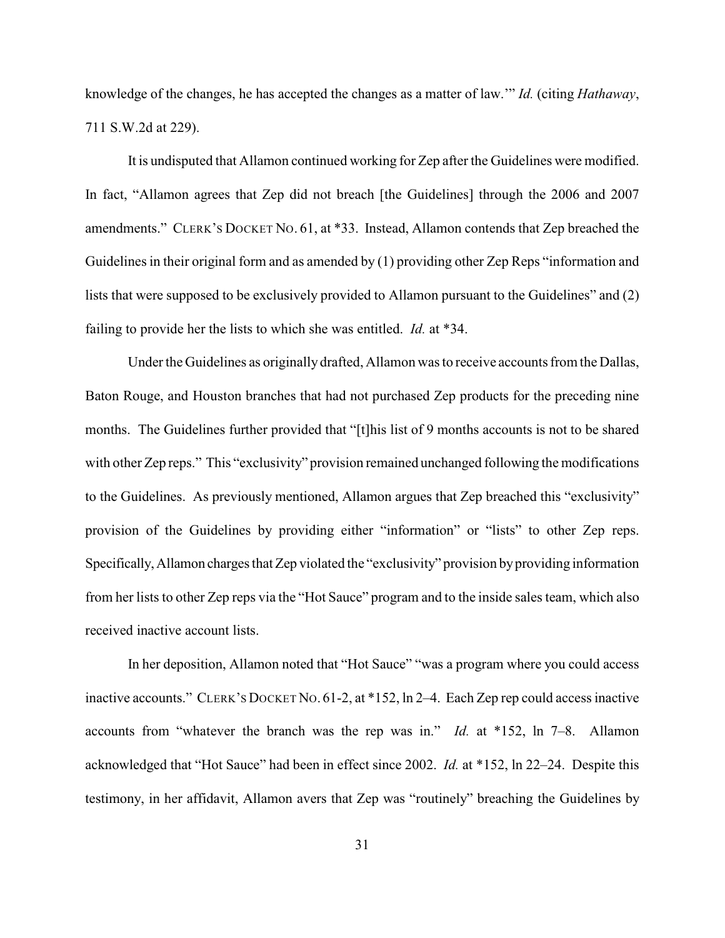knowledge of the changes, he has accepted the changes as a matter of law.'" *Id.* (citing *Hathaway*, 711 S.W.2d at 229).

It is undisputed that Allamon continued working for Zep after the Guidelines were modified. In fact, "Allamon agrees that Zep did not breach [the Guidelines] through the 2006 and 2007 amendments." CLERK'S DOCKET NO. 61, at \*33. Instead, Allamon contends that Zep breached the Guidelines in their original form and as amended by (1) providing other Zep Reps "information and lists that were supposed to be exclusively provided to Allamon pursuant to the Guidelines" and (2) failing to provide her the lists to which she was entitled. *Id.* at \*34.

Under the Guidelines as originally drafted, Allamon was to receive accountsfrom the Dallas, Baton Rouge, and Houston branches that had not purchased Zep products for the preceding nine months. The Guidelines further provided that "[t]his list of 9 months accounts is not to be shared with other Zep reps." This "exclusivity" provision remained unchanged following the modifications to the Guidelines. As previously mentioned, Allamon argues that Zep breached this "exclusivity" provision of the Guidelines by providing either "information" or "lists" to other Zep reps. Specifically, Allamon charges that Zep violated the "exclusivity" provision by providing information from her lists to other Zep reps via the "Hot Sauce" program and to the inside sales team, which also received inactive account lists.

In her deposition, Allamon noted that "Hot Sauce" "was a program where you could access inactive accounts." CLERK'S DOCKET NO. 61-2, at \*152, ln 2–4. Each Zep rep could access inactive accounts from "whatever the branch was the rep was in." *Id.* at \*152, ln 7–8. Allamon acknowledged that "Hot Sauce" had been in effect since 2002. *Id.* at \*152, ln 22–24. Despite this testimony, in her affidavit, Allamon avers that Zep was "routinely" breaching the Guidelines by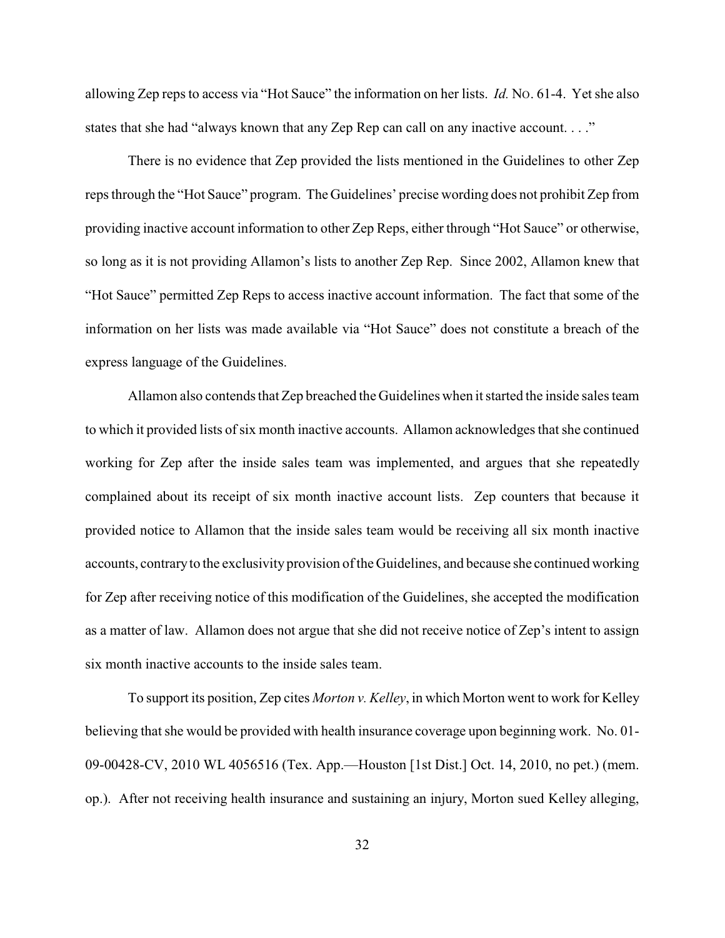allowing Zep reps to access via "Hot Sauce" the information on her lists. *Id.* NO. 61-4. Yet she also states that she had "always known that any Zep Rep can call on any inactive account. . . ."

There is no evidence that Zep provided the lists mentioned in the Guidelines to other Zep reps through the "Hot Sauce" program. The Guidelines' precise wording does not prohibit Zep from providing inactive account information to other Zep Reps, either through "Hot Sauce" or otherwise, so long as it is not providing Allamon's lists to another Zep Rep. Since 2002, Allamon knew that "Hot Sauce" permitted Zep Reps to access inactive account information. The fact that some of the information on her lists was made available via "Hot Sauce" does not constitute a breach of the express language of the Guidelines.

Allamon also contends that Zep breached the Guidelines when it started the inside sales team to which it provided lists of six month inactive accounts. Allamon acknowledges that she continued working for Zep after the inside sales team was implemented, and argues that she repeatedly complained about its receipt of six month inactive account lists. Zep counters that because it provided notice to Allamon that the inside sales team would be receiving all six month inactive accounts, contrary to the exclusivity provision of the Guidelines, and because she continued working for Zep after receiving notice of this modification of the Guidelines, she accepted the modification as a matter of law. Allamon does not argue that she did not receive notice of Zep's intent to assign six month inactive accounts to the inside sales team.

To support its position, Zep cites *Morton v. Kelley*, in which Morton went to work for Kelley believing that she would be provided with health insurance coverage upon beginning work. No. 01- 09-00428-CV, 2010 WL 4056516 (Tex. App.—Houston [1st Dist.] Oct. 14, 2010, no pet.) (mem. op.). After not receiving health insurance and sustaining an injury, Morton sued Kelley alleging,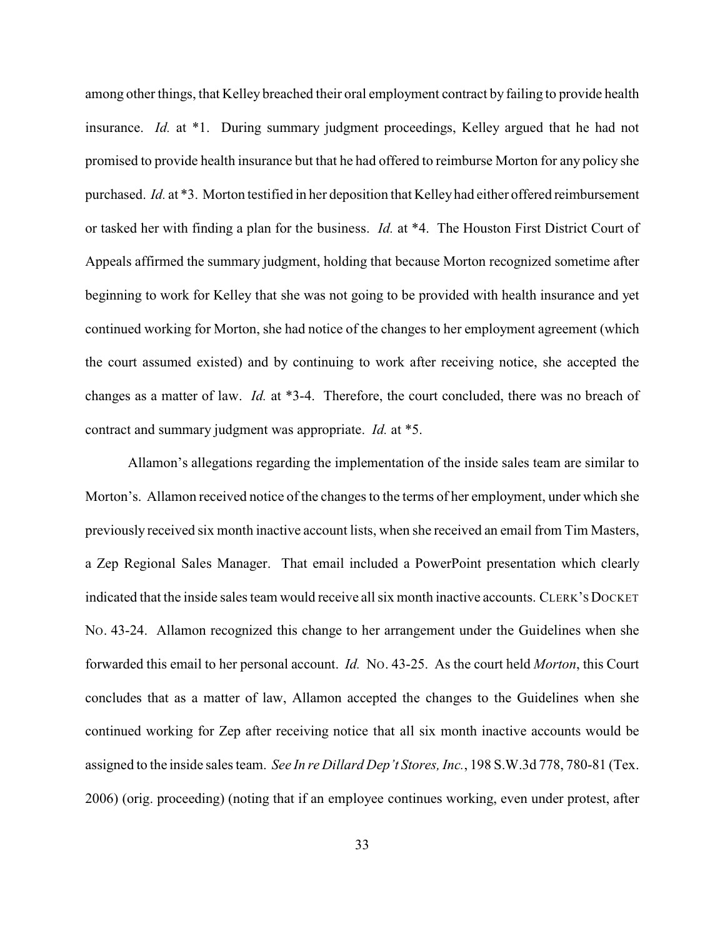among other things, that Kelley breached their oral employment contract by failing to provide health insurance. *Id.* at \*1. During summary judgment proceedings, Kelley argued that he had not promised to provide health insurance but that he had offered to reimburse Morton for any policy she purchased. *Id.* at \*3. Morton testified in her deposition that Kelley had either offered reimbursement or tasked her with finding a plan for the business. *Id.* at \*4. The Houston First District Court of Appeals affirmed the summary judgment, holding that because Morton recognized sometime after beginning to work for Kelley that she was not going to be provided with health insurance and yet continued working for Morton, she had notice of the changes to her employment agreement (which the court assumed existed) and by continuing to work after receiving notice, she accepted the changes as a matter of law. *Id.* at \*3-4. Therefore, the court concluded, there was no breach of contract and summary judgment was appropriate. *Id.* at \*5.

Allamon's allegations regarding the implementation of the inside sales team are similar to Morton's. Allamon received notice of the changes to the terms of her employment, under which she previously received six month inactive account lists, when she received an email from Tim Masters, a Zep Regional Sales Manager. That email included a PowerPoint presentation which clearly indicated that the inside sales team would receive all six month inactive accounts. CLERK'S DOCKET NO. 43-24. Allamon recognized this change to her arrangement under the Guidelines when she forwarded this email to her personal account. *Id.* NO. 43-25. As the court held *Morton*, this Court concludes that as a matter of law, Allamon accepted the changes to the Guidelines when she continued working for Zep after receiving notice that all six month inactive accounts would be assigned to the inside sales team. *See In re Dillard Dep't Stores, Inc.*, 198 S.W.3d 778, 780-81 (Tex. 2006) (orig. proceeding) (noting that if an employee continues working, even under protest, after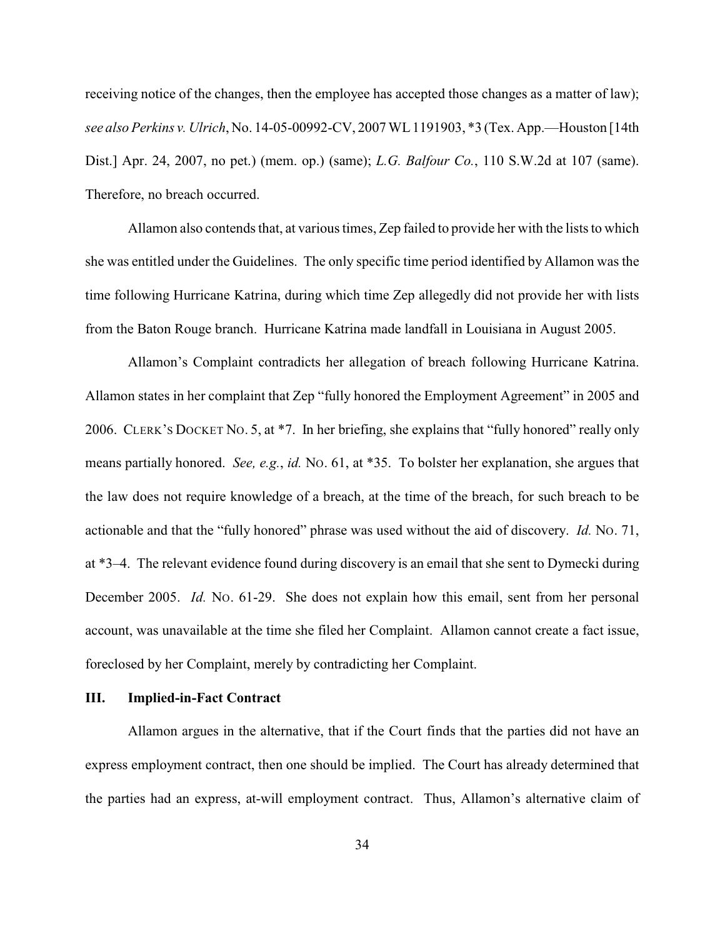receiving notice of the changes, then the employee has accepted those changes as a matter of law); *see alsoPerkins v. Ulrich*, No. 14-05-00992-CV, 2007 WL 1191903, \*3 (Tex. App.—Houston [14th Dist.] Apr. 24, 2007, no pet.) (mem. op.) (same); *L.G. Balfour Co.*, 110 S.W.2d at 107 (same). Therefore, no breach occurred.

Allamon also contends that, at various times, Zep failed to provide her with the lists to which she was entitled under the Guidelines. The only specific time period identified by Allamon was the time following Hurricane Katrina, during which time Zep allegedly did not provide her with lists from the Baton Rouge branch. Hurricane Katrina made landfall in Louisiana in August 2005.

Allamon's Complaint contradicts her allegation of breach following Hurricane Katrina. Allamon states in her complaint that Zep "fully honored the Employment Agreement" in 2005 and 2006. CLERK'S DOCKET NO. 5, at \*7. In her briefing, she explains that "fully honored" really only means partially honored. *See, e.g.*, *id.* NO. 61, at \*35. To bolster her explanation, she argues that the law does not require knowledge of a breach, at the time of the breach, for such breach to be actionable and that the "fully honored" phrase was used without the aid of discovery. *Id.* NO. 71, at \*3–4. The relevant evidence found during discovery is an email that she sent to Dymecki during December 2005. *Id.* No. 61-29. She does not explain how this email, sent from her personal account, was unavailable at the time she filed her Complaint. Allamon cannot create a fact issue, foreclosed by her Complaint, merely by contradicting her Complaint.

## **III. Implied-in-Fact Contract**

Allamon argues in the alternative, that if the Court finds that the parties did not have an express employment contract, then one should be implied. The Court has already determined that the parties had an express, at-will employment contract. Thus, Allamon's alternative claim of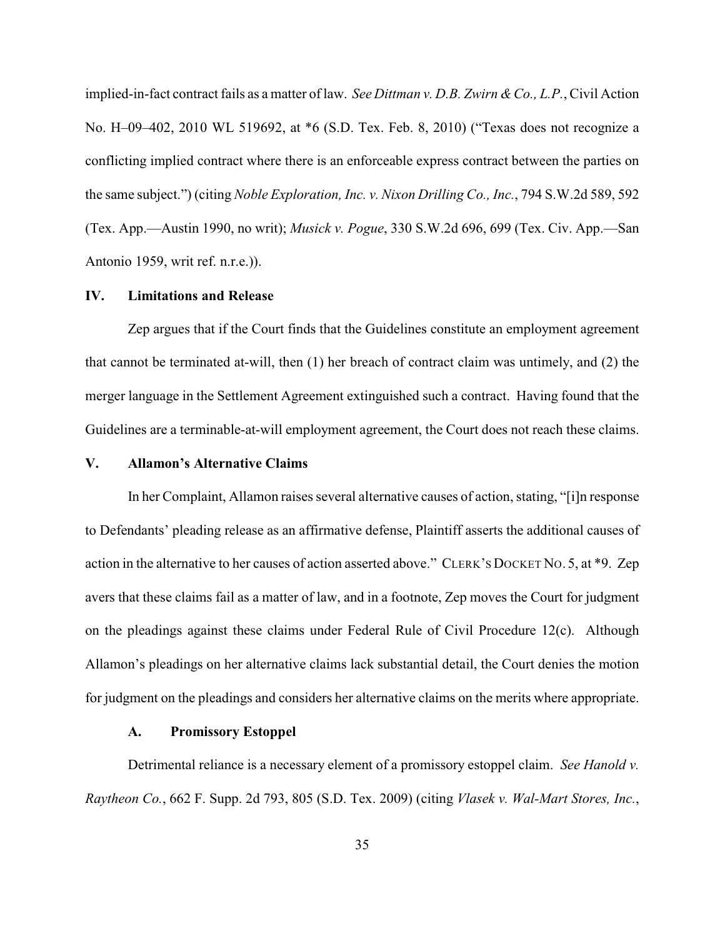implied-in-fact contract fails as a matter of law. *See Dittman v. D.B. Zwirn & Co., L.P.*, Civil Action No. H–09–402, 2010 WL 519692, at \*6 (S.D. Tex. Feb. 8, 2010) ("Texas does not recognize a conflicting implied contract where there is an enforceable express contract between the parties on the same subject.") (citing *Noble Exploration, Inc. v. Nixon Drilling Co., Inc.*, 794 S.W.2d 589, 592 (Tex. App.—Austin 1990, no writ); *Musick v. Pogue*, 330 S.W.2d 696, 699 (Tex. Civ. App.—San Antonio 1959, writ ref. n.r.e.)).

## **IV. Limitations and Release**

Zep argues that if the Court finds that the Guidelines constitute an employment agreement that cannot be terminated at-will, then (1) her breach of contract claim was untimely, and (2) the merger language in the Settlement Agreement extinguished such a contract. Having found that the Guidelines are a terminable-at-will employment agreement, the Court does not reach these claims.

## **V. Allamon's Alternative Claims**

In her Complaint, Allamon raises several alternative causes of action, stating, "[i]n response to Defendants' pleading release as an affirmative defense, Plaintiff asserts the additional causes of action in the alternative to her causes of action asserted above." CLERK'S DOCKET NO. 5, at \*9. Zep avers that these claims fail as a matter of law, and in a footnote, Zep moves the Court for judgment on the pleadings against these claims under Federal Rule of Civil Procedure 12(c). Although Allamon's pleadings on her alternative claims lack substantial detail, the Court denies the motion for judgment on the pleadings and considers her alternative claims on the merits where appropriate.

### **A. Promissory Estoppel**

Detrimental reliance is a necessary element of a promissory estoppel claim. *See Hanold v. Raytheon Co.*, 662 F. Supp. 2d 793, 805 (S.D. Tex. 2009) (citing *Vlasek v. Wal-Mart Stores, Inc.*,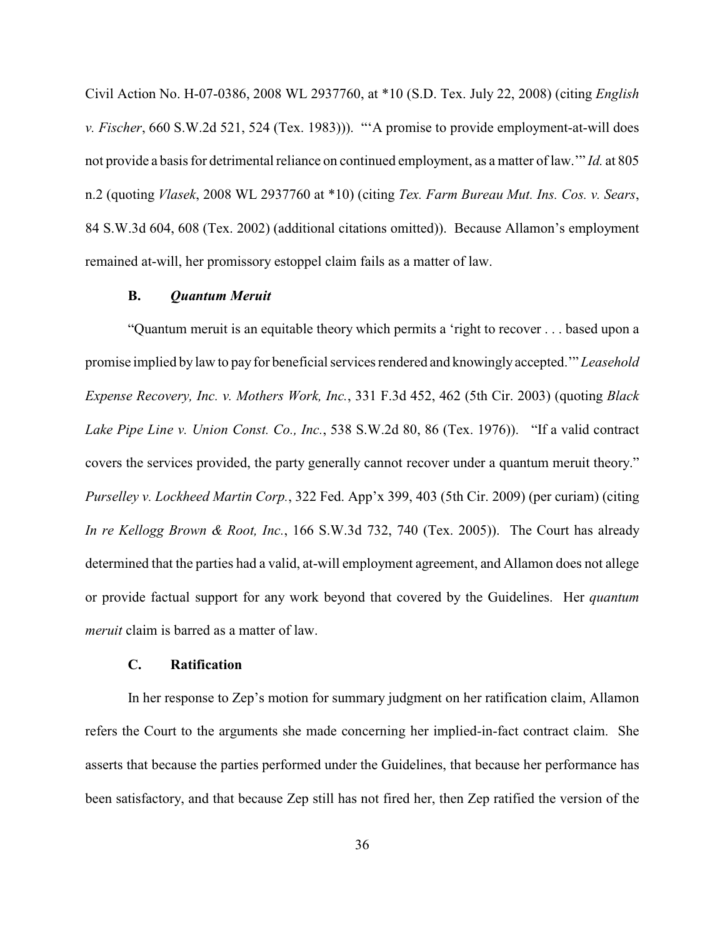Civil Action No. H-07-0386, 2008 WL 2937760, at \*10 (S.D. Tex. July 22, 2008) (citing *English v. Fischer*, 660 S.W.2d 521, 524 (Tex. 1983))). "'A promise to provide employment-at-will does not provide a basis for detrimental reliance on continued employment, as a matter of law.'" *Id.* at 805 n.2 (quoting *Vlasek*, 2008 WL 2937760 at \*10) (citing *Tex. Farm Bureau Mut. Ins. Cos. v. Sears*, 84 S.W.3d 604, 608 (Tex. 2002) (additional citations omitted)). Because Allamon's employment remained at-will, her promissory estoppel claim fails as a matter of law.

### **B.** *Quantum Meruit*

"Quantum meruit is an equitable theory which permits a 'right to recover . . . based upon a promise implied by law to pay for beneficial services rendered and knowingly accepted.'" *Leasehold Expense Recovery, Inc. v. Mothers Work, Inc.*, 331 F.3d 452, 462 (5th Cir. 2003) (quoting *Black Lake Pipe Line v. Union Const. Co., Inc.*, 538 S.W.2d 80, 86 (Tex. 1976)). "If a valid contract covers the services provided, the party generally cannot recover under a quantum meruit theory." *Purselley v. Lockheed Martin Corp.*, 322 Fed. App'x 399, 403 (5th Cir. 2009) (per curiam) (citing *In re Kellogg Brown & Root, Inc.*, 166 S.W.3d 732, 740 (Tex. 2005)). The Court has already determined that the parties had a valid, at-will employment agreement, and Allamon does not allege or provide factual support for any work beyond that covered by the Guidelines. Her *quantum meruit* claim is barred as a matter of law.

## **C. Ratification**

In her response to Zep's motion for summary judgment on her ratification claim, Allamon refers the Court to the arguments she made concerning her implied-in-fact contract claim. She asserts that because the parties performed under the Guidelines, that because her performance has been satisfactory, and that because Zep still has not fired her, then Zep ratified the version of the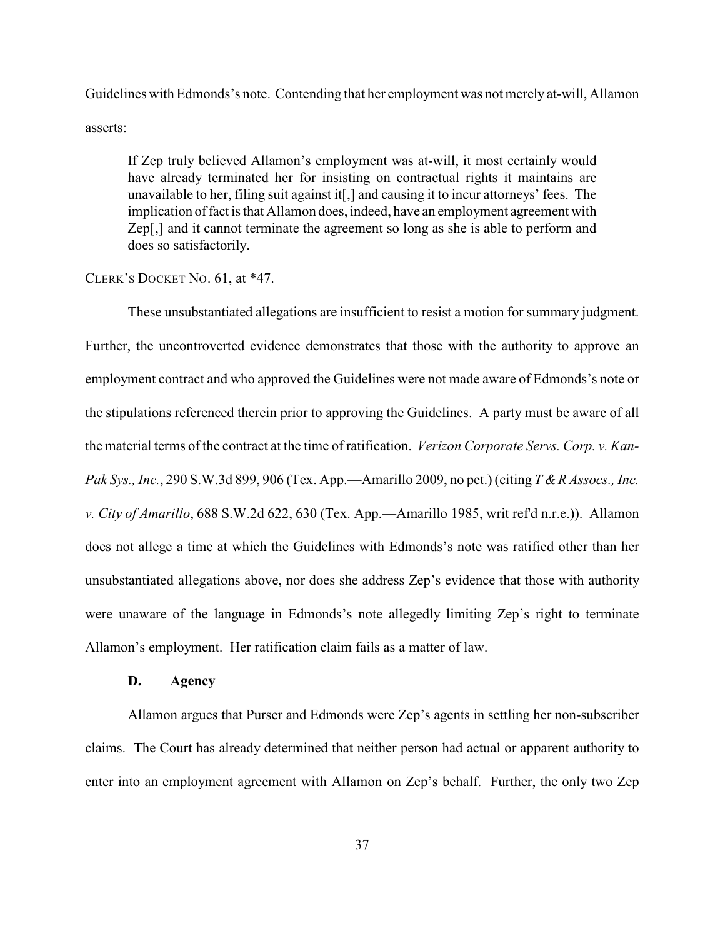Guidelines with Edmonds's note. Contending that her employment was not merely at-will, Allamon asserts:

If Zep truly believed Allamon's employment was at-will, it most certainly would have already terminated her for insisting on contractual rights it maintains are unavailable to her, filing suit against it[,] and causing it to incur attorneys' fees. The implication of fact is that Allamon does, indeed, have an employment agreement with Zep[,] and it cannot terminate the agreement so long as she is able to perform and does so satisfactorily.

### CLERK'S DOCKET NO. 61, at \*47.

These unsubstantiated allegations are insufficient to resist a motion for summary judgment. Further, the uncontroverted evidence demonstrates that those with the authority to approve an employment contract and who approved the Guidelines were not made aware of Edmonds's note or the stipulations referenced therein prior to approving the Guidelines. A party must be aware of all the material terms of the contract at the time of ratification. *Verizon Corporate Servs. Corp. v. Kan-Pak Sys., Inc.*, 290 S.W.3d 899, 906 (Tex. App.—Amarillo 2009, no pet.) (citing *T & R Assocs., Inc. v. City of Amarillo*, 688 S.W.2d 622, 630 (Tex. App.—Amarillo 1985, writ ref'd n.r.e.)). Allamon does not allege a time at which the Guidelines with Edmonds's note was ratified other than her unsubstantiated allegations above, nor does she address Zep's evidence that those with authority were unaware of the language in Edmonds's note allegedly limiting Zep's right to terminate Allamon's employment. Her ratification claim fails as a matter of law.

## **D. Agency**

Allamon argues that Purser and Edmonds were Zep's agents in settling her non-subscriber claims. The Court has already determined that neither person had actual or apparent authority to enter into an employment agreement with Allamon on Zep's behalf. Further, the only two Zep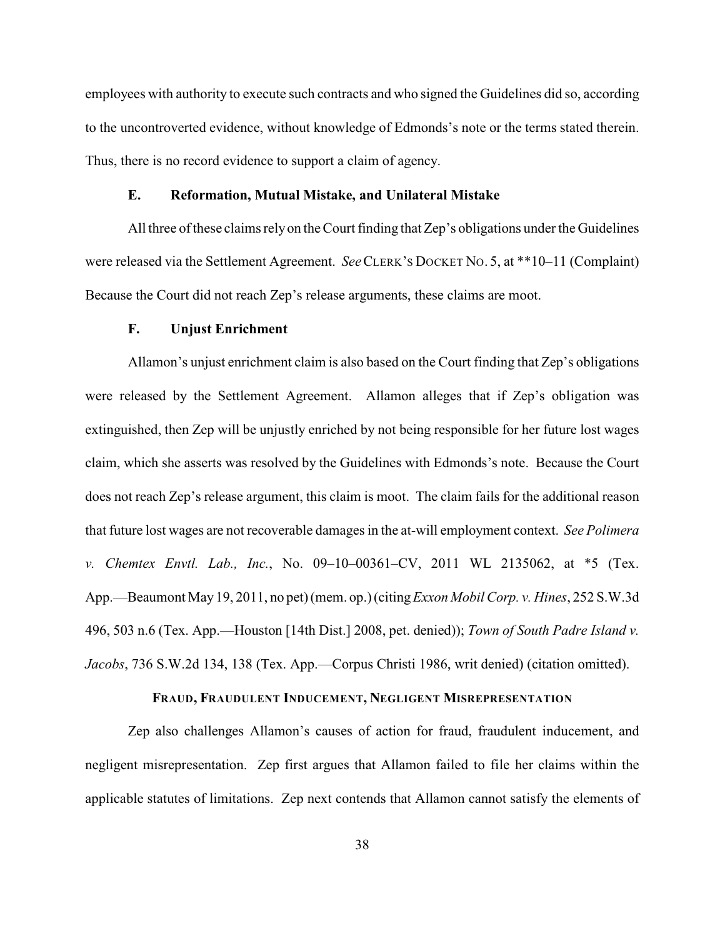employees with authority to execute such contracts and who signed the Guidelines did so, according to the uncontroverted evidence, without knowledge of Edmonds's note or the terms stated therein. Thus, there is no record evidence to support a claim of agency.

## **E. Reformation, Mutual Mistake, and Unilateral Mistake**

All three of these claims relyon the Court finding that Zep's obligations under the Guidelines were released via the Settlement Agreement. *See*CLERK'S DOCKET NO. 5, at \*\*10–11 (Complaint) Because the Court did not reach Zep's release arguments, these claims are moot.

#### **F. Unjust Enrichment**

Allamon's unjust enrichment claim is also based on the Court finding that Zep's obligations were released by the Settlement Agreement. Allamon alleges that if Zep's obligation was extinguished, then Zep will be unjustly enriched by not being responsible for her future lost wages claim, which she asserts was resolved by the Guidelines with Edmonds's note. Because the Court does not reach Zep's release argument, this claim is moot. The claim fails for the additional reason that future lost wages are not recoverable damages in the at-will employment context. *See Polimera v. Chemtex Envtl. Lab., Inc.*, No. 09–10–00361–CV, 2011 WL 2135062, at \*5 (Tex. App.—Beaumont May 19, 2011, no pet) (mem. op.) (citing *Exxon Mobil Corp. v. Hines*, 252 S.W.3d 496, 503 n.6 (Tex. App.—Houston [14th Dist.] 2008, pet. denied)); *Town of South Padre Island v. Jacobs*, 736 S.W.2d 134, 138 (Tex. App.—Corpus Christi 1986, writ denied) (citation omitted).

## **FRAUD, FRAUDULENT INDUCEMENT, NEGLIGENT MISREPRESENTATION**

Zep also challenges Allamon's causes of action for fraud, fraudulent inducement, and negligent misrepresentation. Zep first argues that Allamon failed to file her claims within the applicable statutes of limitations. Zep next contends that Allamon cannot satisfy the elements of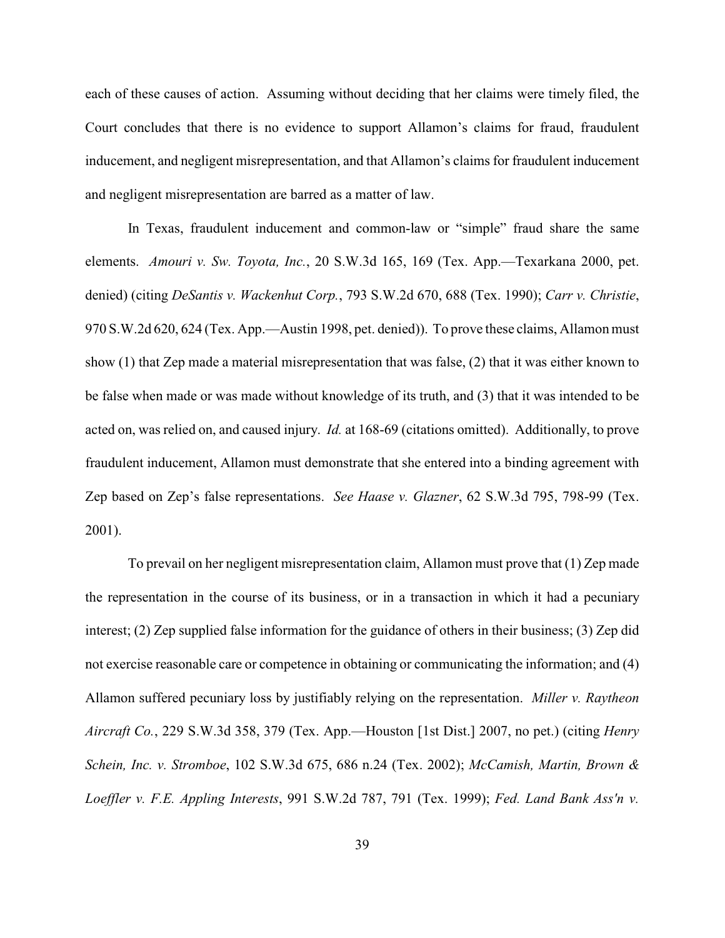each of these causes of action. Assuming without deciding that her claims were timely filed, the Court concludes that there is no evidence to support Allamon's claims for fraud, fraudulent inducement, and negligent misrepresentation, and that Allamon's claims for fraudulent inducement and negligent misrepresentation are barred as a matter of law.

In Texas, fraudulent inducement and common-law or "simple" fraud share the same elements. *Amouri v. Sw. Toyota, Inc.*, 20 S.W.3d 165, 169 (Tex. App.—Texarkana 2000, pet. denied) (citing *DeSantis v. Wackenhut Corp.*, 793 S.W.2d 670, 688 (Tex. 1990); *Carr v. Christie*, 970 S.W.2d 620, 624 (Tex. App.—Austin 1998, pet. denied)). To prove these claims, Allamon must show (1) that Zep made a material misrepresentation that was false, (2) that it was either known to be false when made or was made without knowledge of its truth, and (3) that it was intended to be acted on, was relied on, and caused injury. *Id.* at 168-69 (citations omitted). Additionally, to prove fraudulent inducement, Allamon must demonstrate that she entered into a binding agreement with Zep based on Zep's false representations. *See Haase v. Glazner*, 62 S.W.3d 795, 798-99 (Tex. 2001).

To prevail on her negligent misrepresentation claim, Allamon must prove that (1) Zep made the representation in the course of its business, or in a transaction in which it had a pecuniary interest; (2) Zep supplied false information for the guidance of others in their business; (3) Zep did not exercise reasonable care or competence in obtaining or communicating the information; and (4) Allamon suffered pecuniary loss by justifiably relying on the representation. *Miller v. Raytheon Aircraft Co.*, 229 S.W.3d 358, 379 (Tex. App.—Houston [1st Dist.] 2007, no pet.) (citing *Henry Schein, Inc. v. Stromboe*, 102 S.W.3d 675, 686 n.24 (Tex. 2002); *McCamish, Martin, Brown & Loeffler v. F.E. Appling Interests*, 991 S.W.2d 787, 791 (Tex. 1999); *Fed. Land Bank Ass'n v.*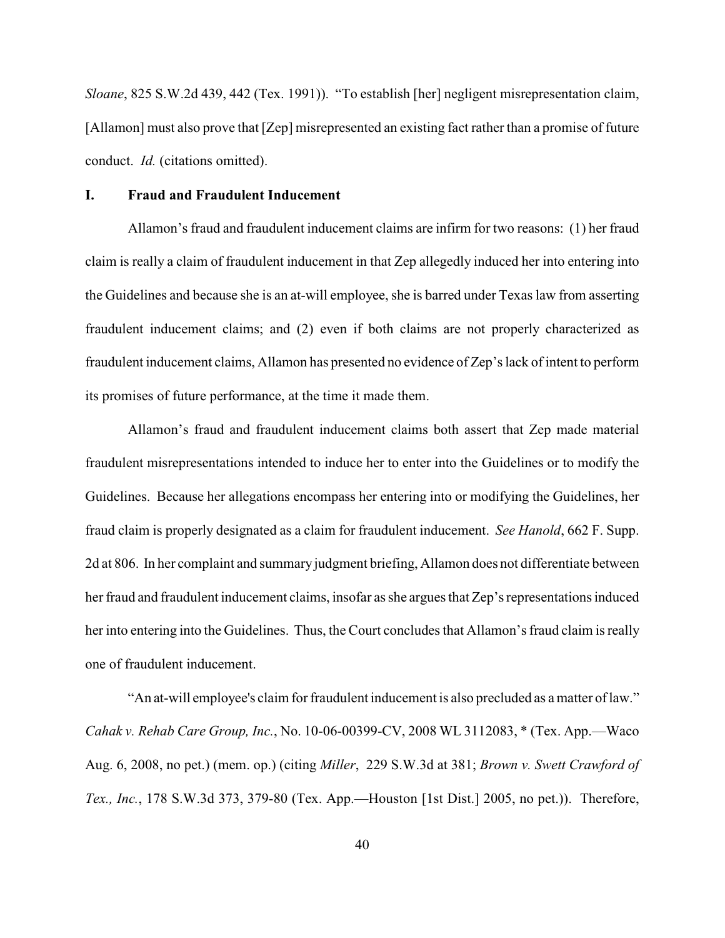*Sloane*, 825 S.W.2d 439, 442 (Tex. 1991)). "To establish [her] negligent misrepresentation claim, [Allamon] must also prove that [Zep] misrepresented an existing fact rather than a promise of future conduct. *Id.* (citations omitted).

## **I. Fraud and Fraudulent Inducement**

Allamon's fraud and fraudulent inducement claims are infirm for two reasons: (1) her fraud claim is really a claim of fraudulent inducement in that Zep allegedly induced her into entering into the Guidelines and because she is an at-will employee, she is barred under Texas law from asserting fraudulent inducement claims; and (2) even if both claims are not properly characterized as fraudulent inducement claims, Allamon has presented no evidence of Zep's lack of intent to perform its promises of future performance, at the time it made them.

Allamon's fraud and fraudulent inducement claims both assert that Zep made material fraudulent misrepresentations intended to induce her to enter into the Guidelines or to modify the Guidelines. Because her allegations encompass her entering into or modifying the Guidelines, her fraud claim is properly designated as a claim for fraudulent inducement. *See Hanold*, 662 F. Supp. 2d at 806. In her complaint and summaryjudgment briefing, Allamon does not differentiate between her fraud and fraudulent inducement claims, insofar as she argues that Zep's representations induced her into entering into the Guidelines. Thus, the Court concludes that Allamon's fraud claim is really one of fraudulent inducement.

"An at-will employee's claim for fraudulent inducement is also precluded as a matter of law." *Cahak v. Rehab Care Group, Inc.*, No. 10-06-00399-CV, 2008 WL 3112083, \* (Tex. App.—Waco Aug. 6, 2008, no pet.) (mem. op.) (citing *Miller*, 229 S.W.3d at 381; *Brown v. Swett Crawford of Tex., Inc.*, 178 S.W.3d 373, 379-80 (Tex. App.—Houston [1st Dist.] 2005, no pet.)). Therefore,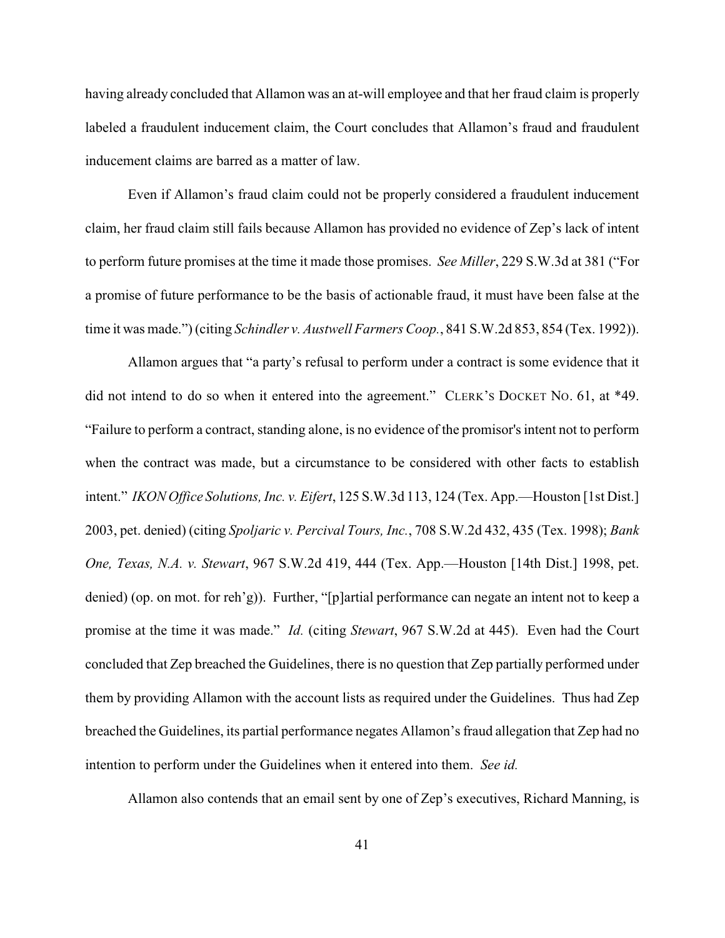having already concluded that Allamon was an at-will employee and that her fraud claim is properly labeled a fraudulent inducement claim, the Court concludes that Allamon's fraud and fraudulent inducement claims are barred as a matter of law.

Even if Allamon's fraud claim could not be properly considered a fraudulent inducement claim, her fraud claim still fails because Allamon has provided no evidence of Zep's lack of intent to perform future promises at the time it made those promises. *See Miller*, 229 S.W.3d at 381 ("For a promise of future performance to be the basis of actionable fraud, it must have been false at the time it was made.") (citing *Schindler v. Austwell Farmers Coop.*, 841 S.W.2d 853, 854 (Tex. 1992)).

Allamon argues that "a party's refusal to perform under a contract is some evidence that it did not intend to do so when it entered into the agreement." CLERK'S DOCKET NO. 61, at \*49. "Failure to perform a contract, standing alone, is no evidence of the promisor's intent not to perform when the contract was made, but a circumstance to be considered with other facts to establish intent." *IKON Office Solutions, Inc. v. Eifert*, 125 S.W.3d 113, 124 (Tex. App.—Houston [1st Dist.] 2003, pet. denied) (citing *Spoljaric v. Percival Tours, Inc.*, 708 S.W.2d 432, 435 (Tex. 1998); *Bank One, Texas, N.A. v. Stewart*, 967 S.W.2d 419, 444 (Tex. App.—Houston [14th Dist.] 1998, pet. denied) (op. on mot. for reh'g)). Further, "[p]artial performance can negate an intent not to keep a promise at the time it was made." *Id.* (citing *Stewart*, 967 S.W.2d at 445). Even had the Court concluded that Zep breached the Guidelines, there is no question that Zep partially performed under them by providing Allamon with the account lists as required under the Guidelines. Thus had Zep breached the Guidelines, its partial performance negates Allamon's fraud allegation that Zep had no intention to perform under the Guidelines when it entered into them. *See id.*

Allamon also contends that an email sent by one of Zep's executives, Richard Manning, is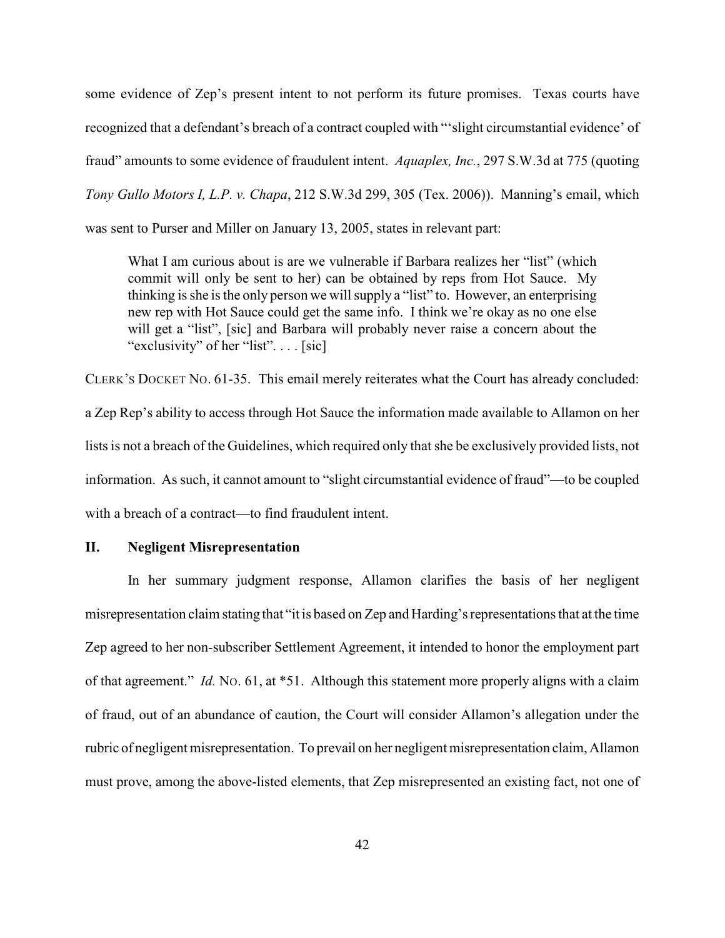some evidence of Zep's present intent to not perform its future promises. Texas courts have recognized that a defendant's breach of a contract coupled with "'slight circumstantial evidence' of fraud" amounts to some evidence of fraudulent intent. *Aquaplex, Inc.*, 297 S.W.3d at 775 (quoting *Tony Gullo Motors I, L.P. v. Chapa*, 212 S.W.3d 299, 305 (Tex. 2006)). Manning's email, which was sent to Purser and Miller on January 13, 2005, states in relevant part:

What I am curious about is are we vulnerable if Barbara realizes her "list" (which commit will only be sent to her) can be obtained by reps from Hot Sauce. My thinking is she is the only person we will supply a "list" to. However, an enterprising new rep with Hot Sauce could get the same info. I think we're okay as no one else will get a "list", [sic] and Barbara will probably never raise a concern about the "exclusivity" of her "list".... [sic]

CLERK'S DOCKET NO. 61-35. This email merely reiterates what the Court has already concluded: a Zep Rep's ability to access through Hot Sauce the information made available to Allamon on her lists is not a breach of the Guidelines, which required only that she be exclusively provided lists, not information. As such, it cannot amount to "slight circumstantial evidence of fraud"—to be coupled with a breach of a contract—to find fraudulent intent.

## **II. Negligent Misrepresentation**

In her summary judgment response, Allamon clarifies the basis of her negligent misrepresentation claim stating that "it is based on Zep and Harding's representations that at the time Zep agreed to her non-subscriber Settlement Agreement, it intended to honor the employment part of that agreement." *Id.* NO. 61, at \*51. Although this statement more properly aligns with a claim of fraud, out of an abundance of caution, the Court will consider Allamon's allegation under the rubric of negligent misrepresentation. To prevail on her negligent misrepresentation claim, Allamon must prove, among the above-listed elements, that Zep misrepresented an existing fact, not one of